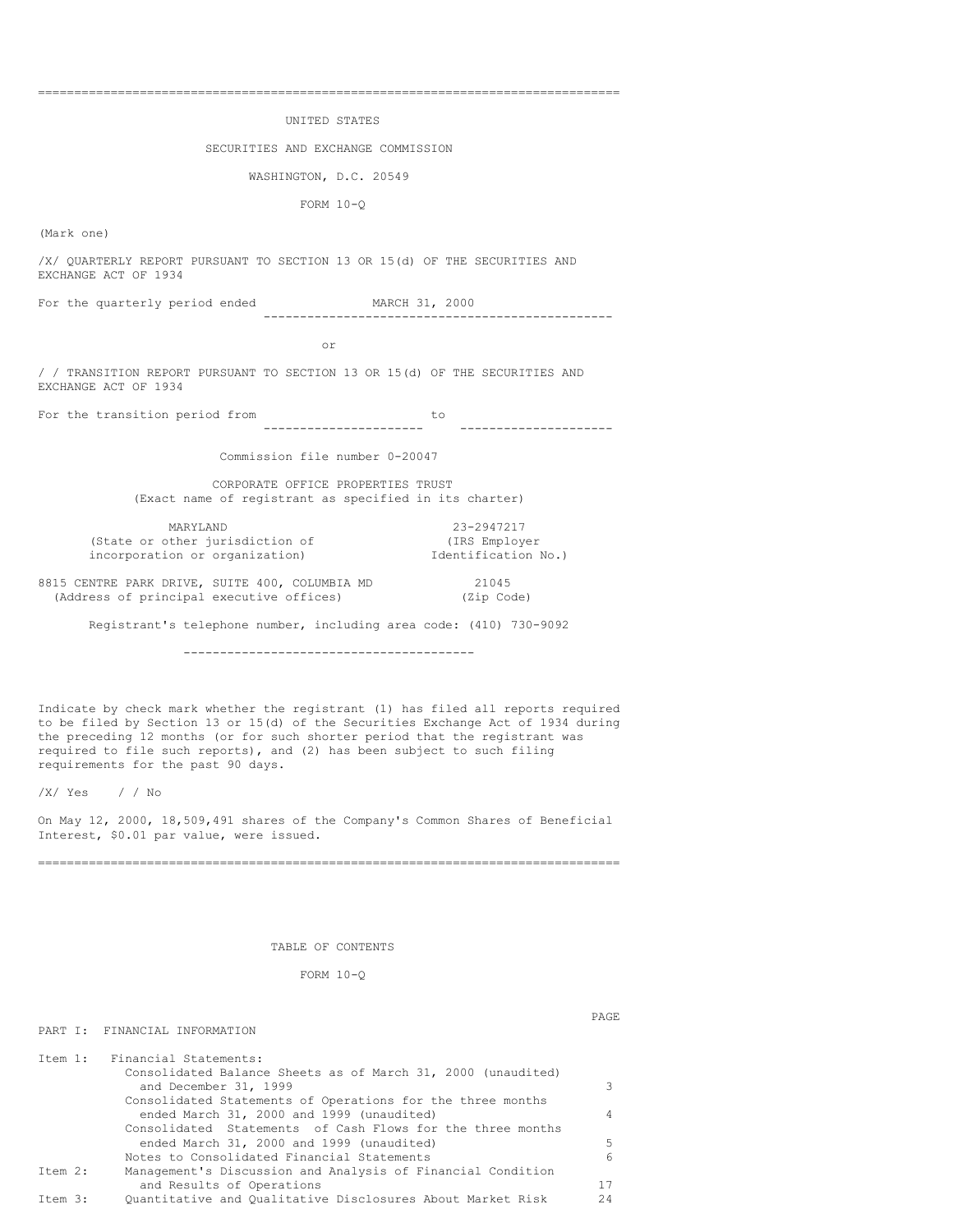#### UNITED STATES

#### SECURITIES AND EXCHANGE COMMISSION

### WASHINGTON, D.C. 20549

FORM 10-Q

(Mark one)

/X/ QUARTERLY REPORT PURSUANT TO SECTION 13 OR 15(d) OF THE SECURITIES AND EXCHANGE ACT OF 1934

For the quarterly period ended MARCH 31, 2000 ------------------------------------------------

or

/ / TRANSITION REPORT PURSUANT TO SECTION 13 OR 15(d) OF THE SECURITIES AND EXCHANGE ACT OF 1934

For the transition period from to to ---------------------- ---------------------

Commission file number 0-20047

CORPORATE OFFICE PROPERTIES TRUST (Exact name of registrant as specified in its charter)

MARYLAND 23-2947217 (State or other jurisdiction of (IRS Employer incorporation or organization) Identification No.)

8815 CENTRE PARK DRIVE, SUITE 400, COLUMBIA MD 21045<br>(Address of principal executive offices) (Zip Code) (Address of principal executive offices)

Registrant's telephone number, including area code: (410) 730-9092

----------------------------------------

Indicate by check mark whether the registrant (1) has filed all reports required to be filed by Section 13 or 15(d) of the Securities Exchange Act of 1934 during the preceding 12 months (or for such shorter period that the registrant was required to file such reports), and (2) has been subject to such filing requirements for the past 90 days.

/X/ Yes / / No

PART I: FINANCIAL INFORMATION

On May 12, 2000, 18,509,491 shares of the Company's Common Shares of Beneficial Interest, \$0.01 par value, were issued.

================================================================================

# TABLE OF CONTENTS

FORM 10-Q

PAGE

|         | Item 1: Financial Statements:                                |    |
|---------|--------------------------------------------------------------|----|
|         | Consolidated Balance Sheets as of March 31, 2000 (unaudited) |    |
|         | and December 31, 1999                                        | 3  |
|         | Consolidated Statements of Operations for the three months   |    |
|         | ended March 31, 2000 and 1999 (unaudited)                    | 4  |
|         | Consolidated Statements of Cash Flows for the three months   |    |
|         | ended March 31, 2000 and 1999 (unaudited)                    | .5 |
|         | Notes to Consolidated Financial Statements                   | 6  |
| Item 2: | Management's Discussion and Analysis of Financial Condition  |    |
|         | and Results of Operations                                    | 17 |
| Ttem 3: | Ouantitative and Oualitative Disclosures About Market Risk   | 24 |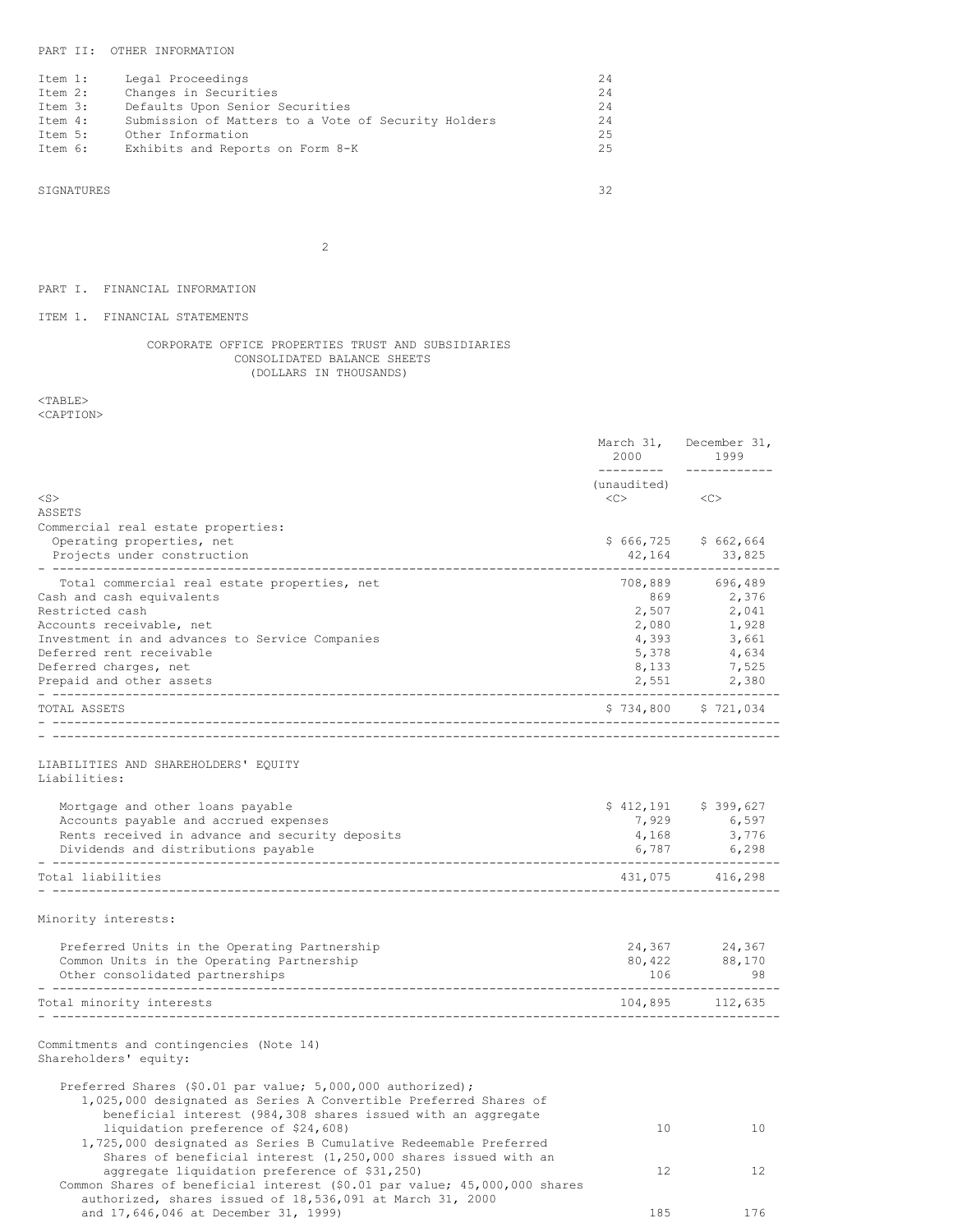# PART II: OTHER INFORMATION

| Item 1: | Legal Proceedings                                   | 24  |
|---------|-----------------------------------------------------|-----|
| Item 2: | Changes in Securities                               | 24  |
| Item 3: | Defaults Upon Senior Securities                     | 24  |
| Item 4: | Submission of Matters to a Vote of Security Holders | 2.4 |
| Item 5: | Other Information                                   | 2.5 |
| Item 6: | Exhibits and Reports on Form 8-K                    | 2.5 |

SIGNATURES 32

2

# PART I. FINANCIAL INFORMATION

# ITEM 1. FINANCIAL STATEMENTS

# CORPORATE OFFICE PROPERTIES TRUST AND SUBSIDIARIES CONSOLIDATED BALANCE SHEETS (DOLLARS IN THOUSANDS)

 $<$  TABLE  $>$ 

<CAPTION>

|                                                                                                                                                                                                  | March 31,<br>2000      | December 31,<br>1999          |
|--------------------------------------------------------------------------------------------------------------------------------------------------------------------------------------------------|------------------------|-------------------------------|
| $<$ S $>$                                                                                                                                                                                        | (unaudited)<br><<>     | <<                            |
| ASSETS                                                                                                                                                                                           |                        |                               |
| Commercial real estate properties:<br>Operating properties, net<br>Projects under construction                                                                                                   | \$666,725<br>42,164    | \$662,664<br>33,825<br>------ |
| Total commercial real estate properties, net<br>Cash and cash equivalents                                                                                                                        | 708,889<br>869         | 696,489<br>2,376              |
| Restricted cash                                                                                                                                                                                  | 2,507                  | 2,041                         |
| Accounts receivable, net                                                                                                                                                                         | 2,080                  | 1,928                         |
| Investment in and advances to Service Companies                                                                                                                                                  | 4,393                  | 3,661                         |
| Deferred rent receivable<br>Deferred charges, net                                                                                                                                                | 5,378<br>8,133         | 4,634<br>7,525                |
| Prepaid and other assets                                                                                                                                                                         | 2,551                  | 2,380                         |
| TOTAL ASSETS                                                                                                                                                                                     |                        | $$734,800$ $$721,034$         |
|                                                                                                                                                                                                  | ---------------------- |                               |
| LIABILITIES AND SHAREHOLDERS' EQUITY<br>Liabilities:                                                                                                                                             |                        |                               |
| Mortgage and other loans payable                                                                                                                                                                 |                        | $$412,191$ $$399,627$         |
| Accounts payable and accrued expenses                                                                                                                                                            | 7,929                  | 6,597                         |
| Rents received in advance and security deposits                                                                                                                                                  | 4,168                  | 3,776                         |
| Dividends and distributions payable<br>--------------------------                                                                                                                                | 6,787                  | 6,298                         |
| Total liabilities                                                                                                                                                                                |                        | 431,075 416,298               |
| Minority interests:                                                                                                                                                                              |                        |                               |
| Preferred Units in the Operating Partnership                                                                                                                                                     | 24,367                 | 24,367                        |
| Common Units in the Operating Partnership                                                                                                                                                        | 80,422                 | 88,170                        |
| Other consolidated partnerships<br>-----------------------                                                                                                                                       | 106                    | 98                            |
| -------------------------------<br>Total minority interests                                                                                                                                      |                        | 104,895 112,635               |
| Commitments and contingencies (Note 14)<br>Shareholders' equity:                                                                                                                                 |                        |                               |
| Preferred Shares (\$0.01 par value; 5,000,000 authorized);<br>1,025,000 designated as Series A Convertible Preferred Shares of<br>beneficial interest (984,308 shares issued with an aggregate   |                        |                               |
| liquidation preference of \$24,608)<br>1,725,000 designated as Series B Cumulative Redeemable Preferred                                                                                          | 10 <sup>1</sup>        | 10                            |
| Shares of beneficial interest $(1, 250, 000$ shares issued with an<br>aggregate liquidation preference of \$31,250)<br>Common Shares of beneficial interest (\$0.01 par value; 45,000,000 shares | 12 <sup>°</sup>        | 12                            |
| authorized, shares issued of 18,536,091 at March 31, 2000<br>and 17,646,046 at December 31, 1999)                                                                                                | 185                    | 176                           |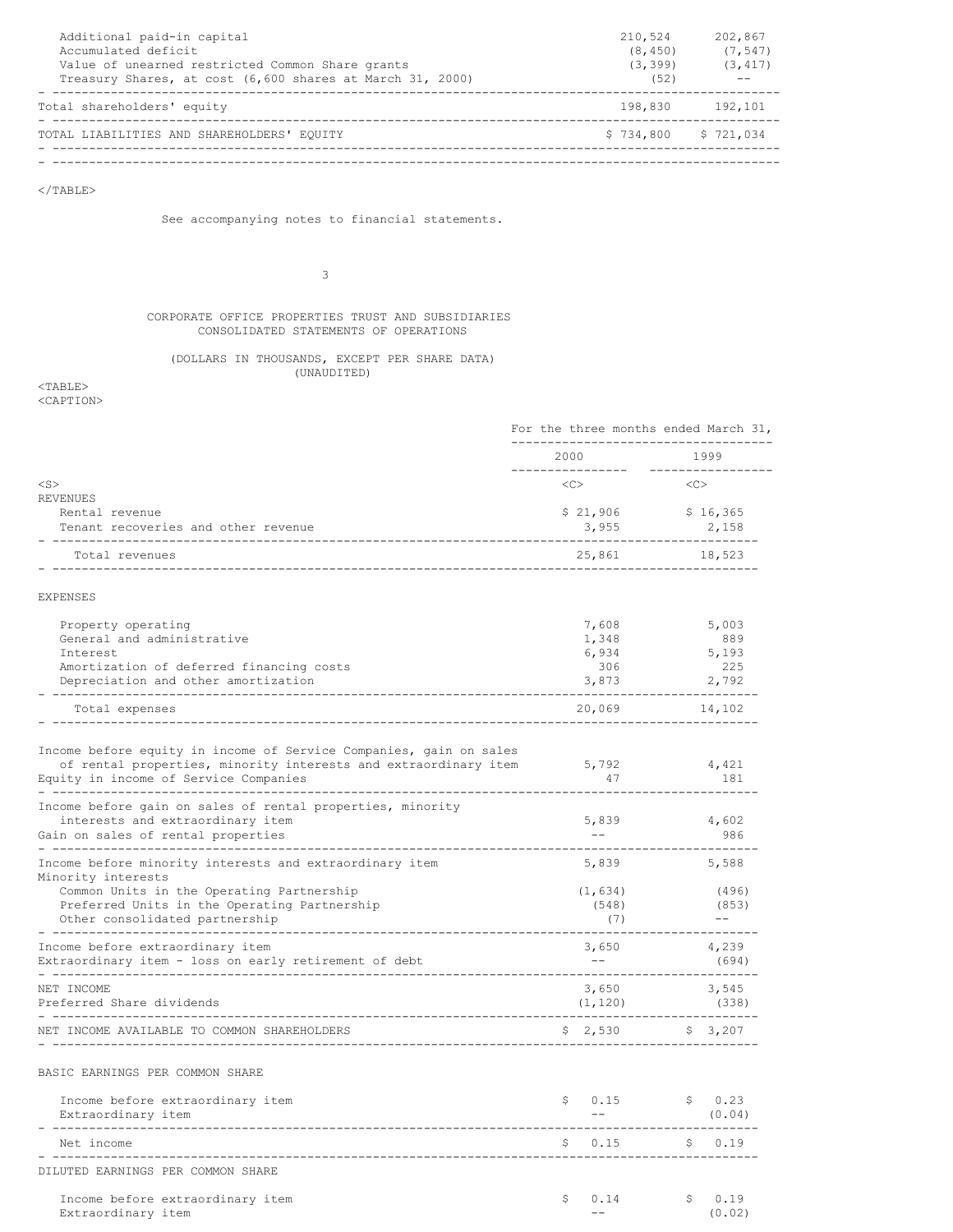| Additional paid-in capital<br>Accumulated deficit<br>Value of unearned restricted Common Share grants<br>Treasury Shares, at cost (6,600 shares at March 31, 2000) | 210,524<br>(8, 450)<br>(3, 399)<br>(52) | 202,867<br>(7, 547)<br>(3, 417) |
|--------------------------------------------------------------------------------------------------------------------------------------------------------------------|-----------------------------------------|---------------------------------|
| Total shareholders' equity                                                                                                                                         |                                         | 198,830 192,101                 |
| TOTAL LIABILITIES AND SHAREHOLDERS' EQUITY                                                                                                                         | $$734,800$ $$721,034$                   |                                 |
|                                                                                                                                                                    |                                         |                                 |

 $<$ /TABLE $>$ 

See accompanying notes to financial statements.

3

# CORPORATE OFFICE PROPERTIES TRUST AND SUBSIDIARIES CONSOLIDATED STATEMENTS OF OPERATIONS

# (DOLLARS IN THOUSANDS, EXCEPT PER SHARE DATA) (UNAUDITED)

 $<$ TABLE $>$ <CAPTION>

|                                                                                                    | For the three months ended March 31,       |                              |
|----------------------------------------------------------------------------------------------------|--------------------------------------------|------------------------------|
|                                                                                                    | 2000<br>---------------                    | 1999<br>-------------        |
| $<$ S $>$                                                                                          | <<                                         | <<                           |
| <b>REVENUES</b>                                                                                    |                                            |                              |
| Rental revenue<br>Tenant recoveries and other revenue                                              | 3,955                                      | $$21,906$ $$16,365$<br>2,158 |
| Total revenues                                                                                     | 25,861                                     | 18,523                       |
| <b>EXPENSES</b>                                                                                    |                                            |                              |
|                                                                                                    |                                            |                              |
| Property operating<br>General and administrative                                                   | 7,608                                      | 5,003<br>889                 |
| Interest                                                                                           | 1,348<br>6,934                             | 5,193                        |
| Amortization of deferred financing costs                                                           | 306                                        | 225                          |
| Depreciation and other amortization                                                                | 3,873                                      | 2,792                        |
| Total expenses                                                                                     | 20,069                                     | 14,102                       |
|                                                                                                    |                                            |                              |
| Income before equity in income of Service Companies, gain on sales                                 |                                            |                              |
| of rental properties, minority interests and extraordinary item                                    | 5,792                                      | 4,421                        |
| Equity in income of Service Companies<br>----------------------                                    | 47                                         | 181                          |
| Income before gain on sales of rental properties, minority                                         |                                            |                              |
| interests and extraordinary item                                                                   | 5,839                                      | 4,602                        |
| Gain on sales of rental properties                                                                 | $\sim$ $ \sim$                             | 986                          |
| Income before minority interests and extraordinary item<br>Minority interests                      | 5,839                                      | 5,588                        |
| Common Units in the Operating Partnership                                                          | (1, 634)                                   | (496)                        |
| Preferred Units in the Operating Partnership                                                       | (548)                                      | (853)                        |
| Other consolidated partnership                                                                     | (7)                                        | $- -$                        |
| ----------------------------<br>------------------------------<br>Income before extraordinary item | 3,650                                      | 4,239                        |
| Extraordinary item - loss on early retirement of debt                                              | $ -$                                       | (694)                        |
| NET INCOME                                                                                         | 3,650                                      | 3,545                        |
| Preferred Share dividends                                                                          | (1, 120)                                   | (338)                        |
| ---------------------<br>NET INCOME AVAILABLE TO COMMON SHAREHOLDERS<br>------------------------   | -------------------------------<br>\$2,530 | \$3,207                      |
| BASIC EARNINGS PER COMMON SHARE                                                                    |                                            |                              |
|                                                                                                    |                                            |                              |
| Income before extraordinary item<br>Extraordinary item<br>---------------                          | \$0.15<br>$ -$                             | \$0.23<br>(0.04)             |
| Net income                                                                                         | ---------<br>\$0.15                        | ------------<br>\$0.19       |
| -------------------<br>DILUTED EARNINGS PER COMMON SHARE                                           |                                            |                              |
| Income before extraordinary item                                                                   | \$<br>0.14                                 | \$<br>0.19                   |
| Extraordinary item                                                                                 | $- -$                                      | (0.02)                       |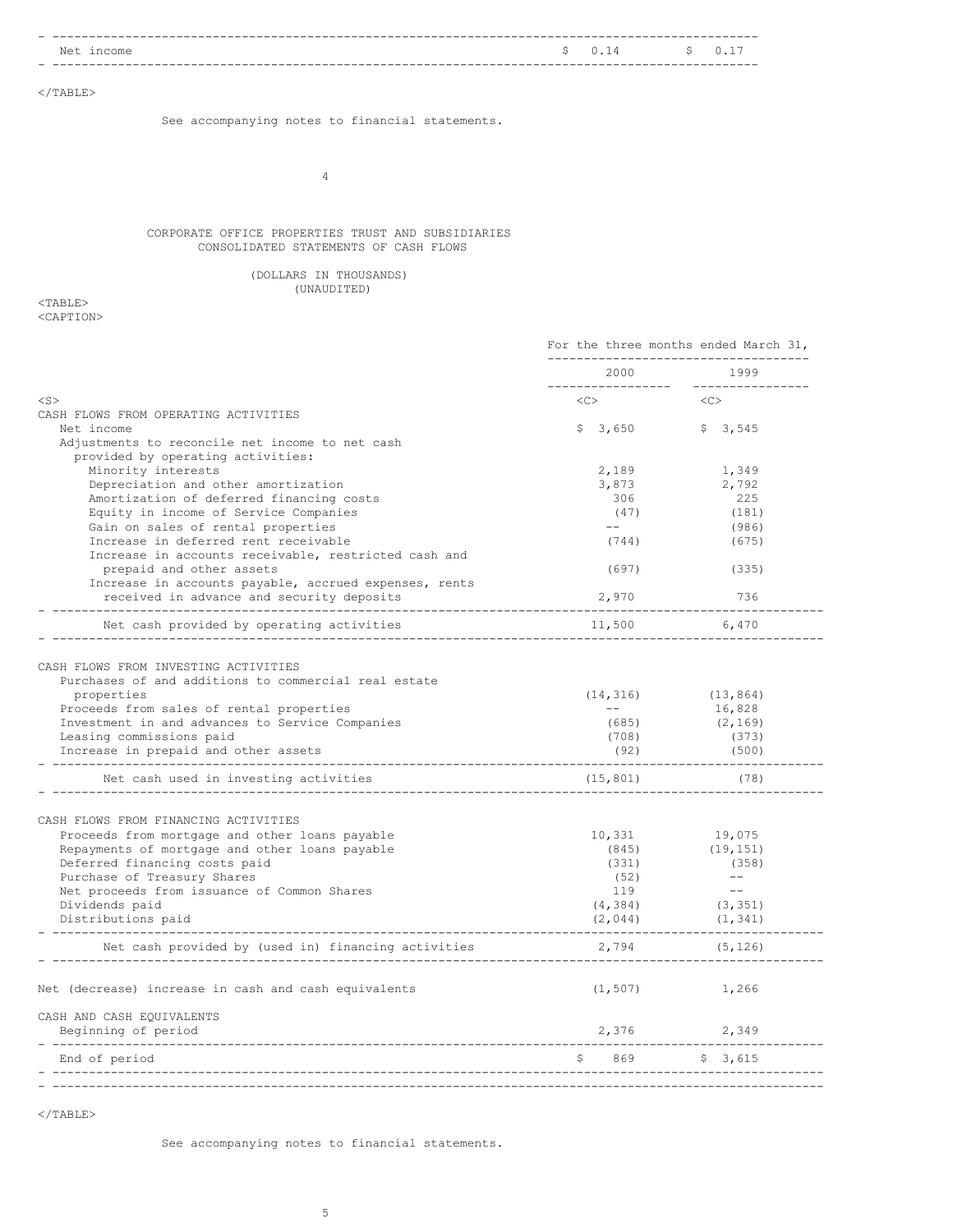| $N \triangleq$<br>ıncome<br>___ |  | $\sim$ $\sim$ $\sim$ $\sim$ $\sim$ $\sim$ |
|---------------------------------|--|-------------------------------------------|
| _ _                             |  |                                           |

 $<$ /TABLE $>$ 

See accompanying notes to financial statements.

4

# CORPORATE OFFICE PROPERTIES TRUST AND SUBSIDIARIES CONSOLIDATED STATEMENTS OF CASH FLOWS

|  | (DOLLARS IN THOUSANDS) |
|--|------------------------|
|  | (UNAUDITED)            |

 $<$ TABLE> <CAPTION>

|                                                                                                    | For the three months ended March 31,<br>---------------------------                                                                                                                                                                                                                                                                                                                                                                                                 |                         |
|----------------------------------------------------------------------------------------------------|---------------------------------------------------------------------------------------------------------------------------------------------------------------------------------------------------------------------------------------------------------------------------------------------------------------------------------------------------------------------------------------------------------------------------------------------------------------------|-------------------------|
|                                                                                                    | 2000                                                                                                                                                                                                                                                                                                                                                                                                                                                                | 1999                    |
| $<$ S $>$                                                                                          | <<>                                                                                                                                                                                                                                                                                                                                                                                                                                                                 | < <c></c>               |
| CASH FLOWS FROM OPERATING ACTIVITIES                                                               |                                                                                                                                                                                                                                                                                                                                                                                                                                                                     |                         |
| Net income                                                                                         | $$3,650$ $$3,545$                                                                                                                                                                                                                                                                                                                                                                                                                                                   |                         |
| Adjustments to reconcile net income to net cash<br>provided by operating activities:               |                                                                                                                                                                                                                                                                                                                                                                                                                                                                     |                         |
| Minority interests                                                                                 | 2,189                                                                                                                                                                                                                                                                                                                                                                                                                                                               | 1,349                   |
| Depreciation and other amortization                                                                | 3,873                                                                                                                                                                                                                                                                                                                                                                                                                                                               | 2,792                   |
| Amortization of deferred financing costs                                                           | 306                                                                                                                                                                                                                                                                                                                                                                                                                                                                 | 225                     |
| Equity in income of Service Companies                                                              | (47)                                                                                                                                                                                                                                                                                                                                                                                                                                                                | (181)                   |
| Gain on sales of rental properties                                                                 | $\frac{1}{2}$ and $\frac{1}{2}$                                                                                                                                                                                                                                                                                                                                                                                                                                     | (986)                   |
| Increase in deferred rent receivable                                                               | (744)                                                                                                                                                                                                                                                                                                                                                                                                                                                               | (675)                   |
| Increase in accounts receivable, restricted cash and                                               |                                                                                                                                                                                                                                                                                                                                                                                                                                                                     |                         |
| prepaid and other assets                                                                           | (697)                                                                                                                                                                                                                                                                                                                                                                                                                                                               | (335)                   |
| Increase in accounts payable, accrued expenses, rents<br>received in advance and security deposits | 2,970                                                                                                                                                                                                                                                                                                                                                                                                                                                               | 736                     |
| Net cash provided by operating activities                                                          | 11,500                                                                                                                                                                                                                                                                                                                                                                                                                                                              | 6,470                   |
|                                                                                                    |                                                                                                                                                                                                                                                                                                                                                                                                                                                                     |                         |
| CASH FLOWS FROM INVESTING ACTIVITIES                                                               |                                                                                                                                                                                                                                                                                                                                                                                                                                                                     |                         |
| Purchases of and additions to commercial real estate                                               |                                                                                                                                                                                                                                                                                                                                                                                                                                                                     |                         |
| properties                                                                                         |                                                                                                                                                                                                                                                                                                                                                                                                                                                                     | $(14, 316)$ $(13, 864)$ |
| Proceeds from sales of rental properties                                                           | $\frac{1}{2} \frac{1}{2} \left( \frac{1}{2} \right) \left( \frac{1}{2} \right) \left( \frac{1}{2} \right) \left( \frac{1}{2} \right) \left( \frac{1}{2} \right) \left( \frac{1}{2} \right) \left( \frac{1}{2} \right) \left( \frac{1}{2} \right) \left( \frac{1}{2} \right) \left( \frac{1}{2} \right) \left( \frac{1}{2} \right) \left( \frac{1}{2} \right) \left( \frac{1}{2} \right) \left( \frac{1}{2} \right) \left( \frac{1}{2} \right) \left( \frac{1}{2} \$ | 16,828                  |
| Investment in and advances to Service Companies                                                    | (685)                                                                                                                                                                                                                                                                                                                                                                                                                                                               | (2, 169)                |
| Leasing commissions paid                                                                           | (708)                                                                                                                                                                                                                                                                                                                                                                                                                                                               | (373)                   |
| Increase in prepaid and other assets                                                               | (92)                                                                                                                                                                                                                                                                                                                                                                                                                                                                | (500)                   |
| Net cash used in investing activities                                                              | (15, 801)                                                                                                                                                                                                                                                                                                                                                                                                                                                           | (78)                    |
| CASH FLOWS FROM FINANCING ACTIVITIES                                                               |                                                                                                                                                                                                                                                                                                                                                                                                                                                                     |                         |
| Proceeds from mortgage and other loans payable                                                     | 10,331                                                                                                                                                                                                                                                                                                                                                                                                                                                              | 19,075                  |
| Repayments of mortgage and other loans payable                                                     | (845)                                                                                                                                                                                                                                                                                                                                                                                                                                                               | (19, 151)               |
| Deferred financing costs paid                                                                      | (331)                                                                                                                                                                                                                                                                                                                                                                                                                                                               | (358)                   |
| Purchase of Treasury Shares                                                                        | (52)                                                                                                                                                                                                                                                                                                                                                                                                                                                                | $---$                   |
| Net proceeds from issuance of Common Shares                                                        | 119                                                                                                                                                                                                                                                                                                                                                                                                                                                                 | $- -$                   |
| Dividends paid                                                                                     | (4, 384)                                                                                                                                                                                                                                                                                                                                                                                                                                                            | (3, 351)                |
| Distributions paid                                                                                 | (2, 044)                                                                                                                                                                                                                                                                                                                                                                                                                                                            | (1, 341)                |
| Net cash provided by (used in) financing activities                                                | 2,794                                                                                                                                                                                                                                                                                                                                                                                                                                                               | (5, 126)                |
| Net (decrease) increase in cash and cash equivalents                                               |                                                                                                                                                                                                                                                                                                                                                                                                                                                                     | $(1, 507)$ 1,266        |
| CASH AND CASH EQUIVALENTS                                                                          |                                                                                                                                                                                                                                                                                                                                                                                                                                                                     |                         |
| Beginning of period                                                                                | 2,376                                                                                                                                                                                                                                                                                                                                                                                                                                                               | 2,349                   |
| -----------------------------------<br>End of period                                               | \$869                                                                                                                                                                                                                                                                                                                                                                                                                                                               | \$3,615                 |

 $<$ /TABLE $>$ 

See accompanying notes to financial statements.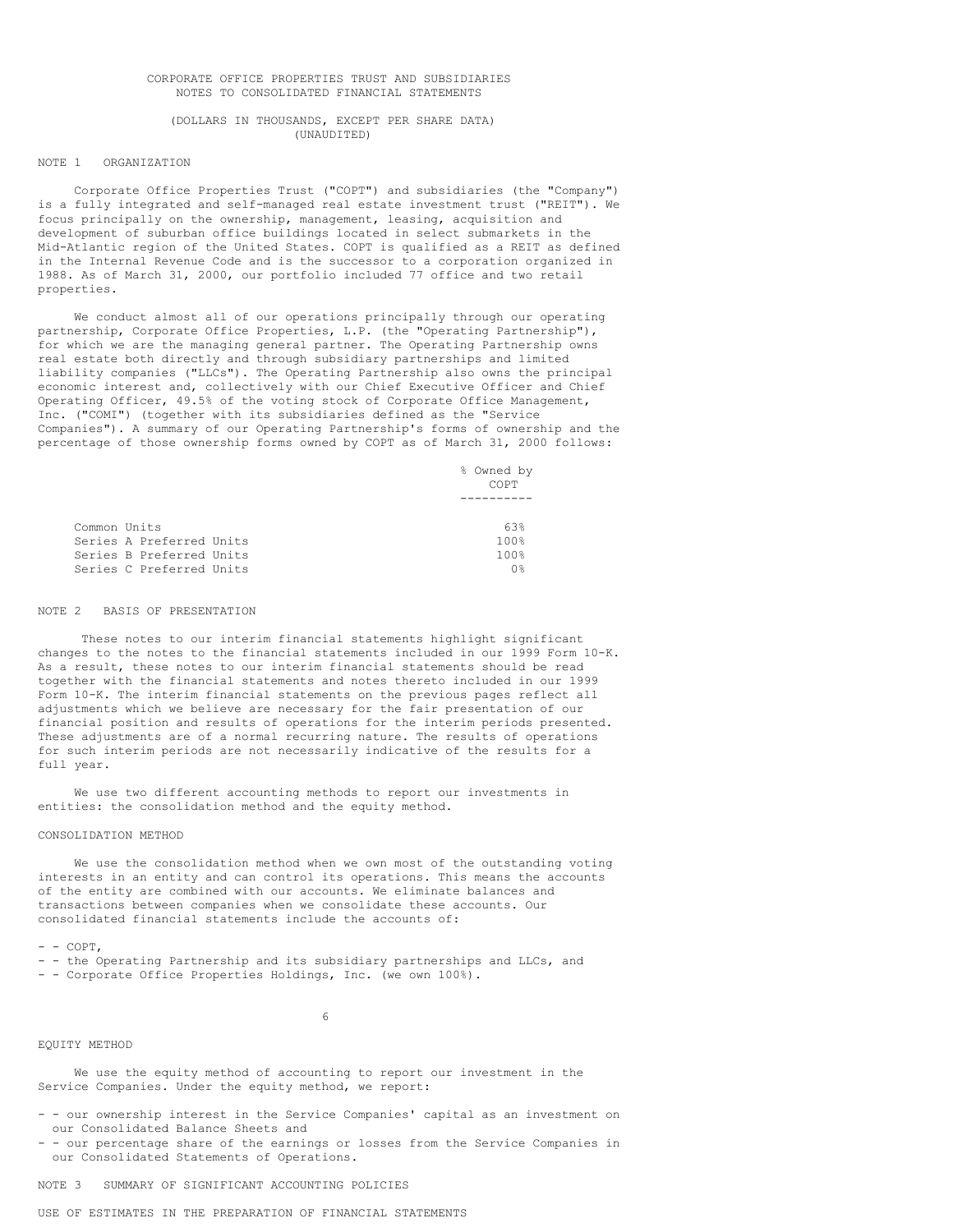# CORPORATE OFFICE PROPERTIES TRUST AND SUBSIDIARIES NOTES TO CONSOLIDATED FINANCIAL STATEMENTS

# (DOLLARS IN THOUSANDS, EXCEPT PER SHARE DATA) (UNAUDITED)

#### NOTE 1 ORGANIZATION

Corporate Office Properties Trust ("COPT") and subsidiaries (the "Company") is a fully integrated and self-managed real estate investment trust ("REIT"). We focus principally on the ownership, management, leasing, acquisition and development of suburban office buildings located in select submarkets in the Mid-Atlantic region of the United States. COPT is qualified as a REIT as defined in the Internal Revenue Code and is the successor to a corporation organized in 1988. As of March 31, 2000, our portfolio included 77 office and two retail properties.

We conduct almost all of our operations principally through our operating partnership, Corporate Office Properties, L.P. (the "Operating Partnership"), for which we are the managing general partner. The Operating Partnership owns real estate both directly and through subsidiary partnerships and limited liability companies ("LLCs"). The Operating Partnership also owns the principal economic interest and, collectively with our Chief Executive Officer and Chief Operating Officer, 49.5% of the voting stock of Corporate Office Management, Inc. ("COMI") (together with its subsidiaries defined as the "Service Companies"). A summary of our Operating Partnership's forms of ownership and the percentage of those ownership forms owned by COPT as of March 31, 2000 follows:

> % Owned by COPT ----------

| Common Units |                          | 63%  |
|--------------|--------------------------|------|
|              | Series A Preferred Units | 100% |
|              | Series B Preferred Units | 100% |
|              | Series C Preferred Units | ∩ ⊱  |

#### NOTE 2 BASIS OF PRESENTATION

These notes to our interim financial statements highlight significant changes to the notes to the financial statements included in our 1999 Form 10-K. As a result, these notes to our interim financial statements should be read together with the financial statements and notes thereto included in our 1999 Form 10-K. The interim financial statements on the previous pages reflect all adjustments which we believe are necessary for the fair presentation of our financial position and results of operations for the interim periods presented. These adjustments are of a normal recurring nature. The results of operations for such interim periods are not necessarily indicative of the results for a full year.

We use two different accounting methods to report our investments in entities: the consolidation method and the equity method.

## CONSOLIDATION METHOD

We use the consolidation method when we own most of the outstanding voting interests in an entity and can control its operations. This means the accounts of the entity are combined with our accounts. We eliminate balances and transactions between companies when we consolidate these accounts. Our consolidated financial statements include the accounts of:

#### $-$  COPT.

- - the Operating Partnership and its subsidiary partnerships and LLCs, and - - Corporate Office Properties Holdings, Inc. (we own 100%).

## 6

# EQUITY METHOD

We use the equity method of accounting to report our investment in the Service Companies. Under the equity method, we report:

- - our ownership interest in the Service Companies' capital as an investment on our Consolidated Balance Sheets and
- - our percentage share of the earnings or losses from the Service Companies in our Consolidated Statements of Operations.

NOTE 3 SUMMARY OF SIGNIFICANT ACCOUNTING POLICIES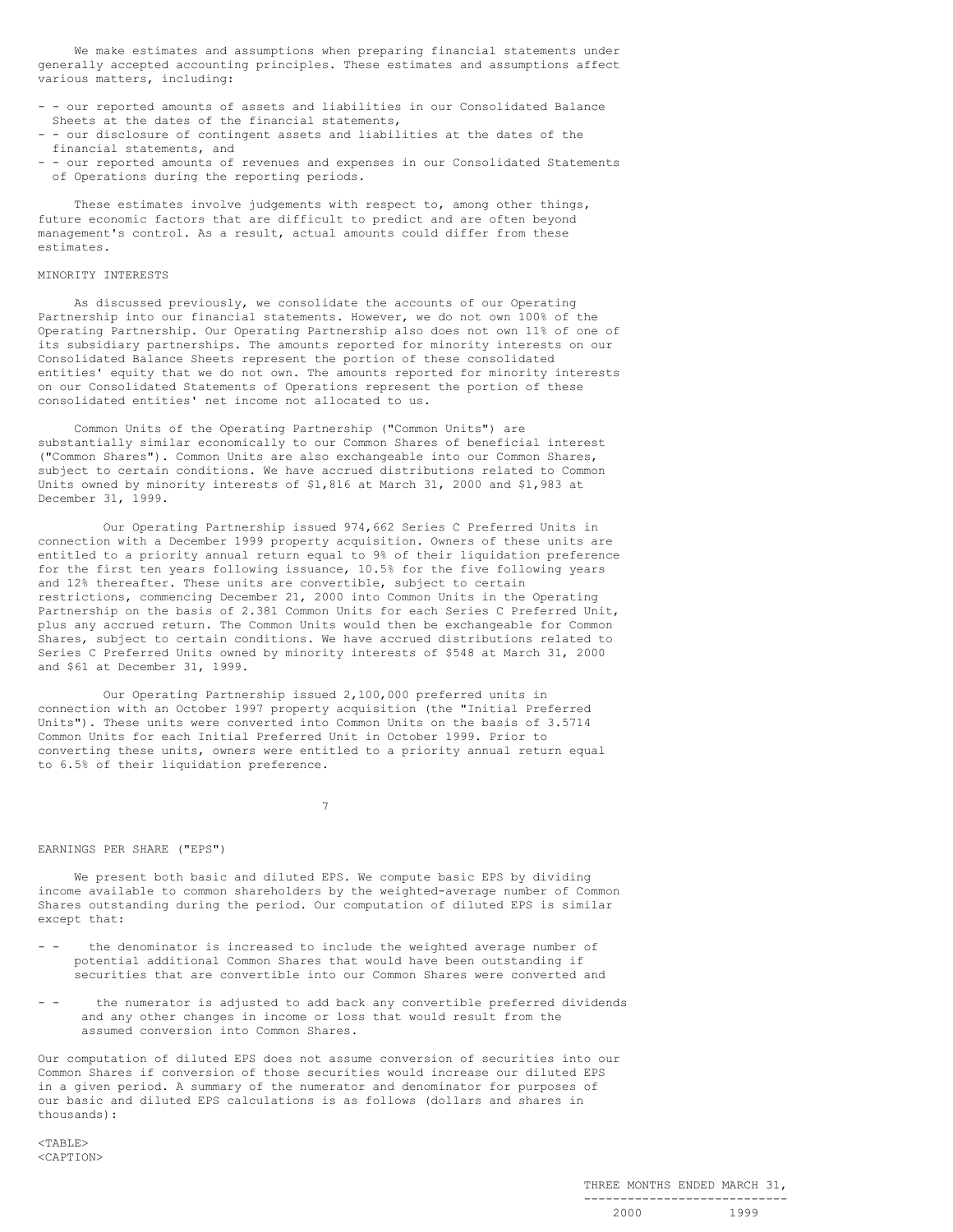We make estimates and assumptions when preparing financial statements under generally accepted accounting principles. These estimates and assumptions affect various matters, including:

- - our reported amounts of assets and liabilities in our Consolidated Balance Sheets at the dates of the financial statements,
- - our disclosure of contingent assets and liabilities at the dates of the financial statements, and
- - our reported amounts of revenues and expenses in our Consolidated Statements of Operations during the reporting periods.

These estimates involve judgements with respect to, among other things, future economic factors that are difficult to predict and are often beyond management's control. As a result, actual amounts could differ from these estimates.

## MINORITY INTERESTS

As discussed previously, we consolidate the accounts of our Operating Partnership into our financial statements. However, we do not own 100% of the Operating Partnership. Our Operating Partnership also does not own 11% of one of its subsidiary partnerships. The amounts reported for minority interests on our Consolidated Balance Sheets represent the portion of these consolidated entities' equity that we do not own. The amounts reported for minority interests on our Consolidated Statements of Operations represent the portion of these consolidated entities' net income not allocated to us.

Common Units of the Operating Partnership ("Common Units") are substantially similar economically to our Common Shares of beneficial interest ("Common Shares"). Common Units are also exchangeable into our Common Shares, subject to certain conditions. We have accrued distributions related to Common Units owned by minority interests of \$1,816 at March 31, 2000 and \$1,983 at December 31, 1999.

Our Operating Partnership issued 974,662 Series C Preferred Units in connection with a December 1999 property acquisition. Owners of these units are entitled to a priority annual return equal to 9% of their liquidation preference for the first ten years following issuance, 10.5% for the five following years and 12% thereafter. These units are convertible, subject to certain restrictions, commencing December 21, 2000 into Common Units in the Operating Partnership on the basis of 2.381 Common Units for each Series C Preferred Unit, plus any accrued return. The Common Units would then be exchangeable for Common Shares, subject to certain conditions. We have accrued distributions related to Series C Preferred Units owned by minority interests of \$548 at March 31, 2000 and \$61 at December 31, 1999.

Our Operating Partnership issued 2,100,000 preferred units in connection with an October 1997 property acquisition (the "Initial Preferred Units"). These units were converted into Common Units on the basis of 3.5714 Common Units for each Initial Preferred Unit in October 1999. Prior to converting these units, owners were entitled to a priority annual return equal to 6.5% of their liquidation preference.

7

#### EARNINGS PER SHARE ("EPS")

We present both basic and diluted EPS. We compute basic EPS by dividing income available to common shareholders by the weighted-average number of Common Shares outstanding during the period. Our computation of diluted EPS is similar except that:

- - the denominator is increased to include the weighted average number of potential additional Common Shares that would have been outstanding if securities that are convertible into our Common Shares were converted and
- the numerator is adjusted to add back any convertible preferred dividends and any other changes in income or loss that would result from the assumed conversion into Common Shares.

Our computation of diluted EPS does not assume conversion of securities into our Common Shares if conversion of those securities would increase our diluted EPS in a given period. A summary of the numerator and denominator for purposes of our basic and diluted EPS calculations is as follows (dollars and shares in thousands):

 $<$ TABLE> <CAPTION>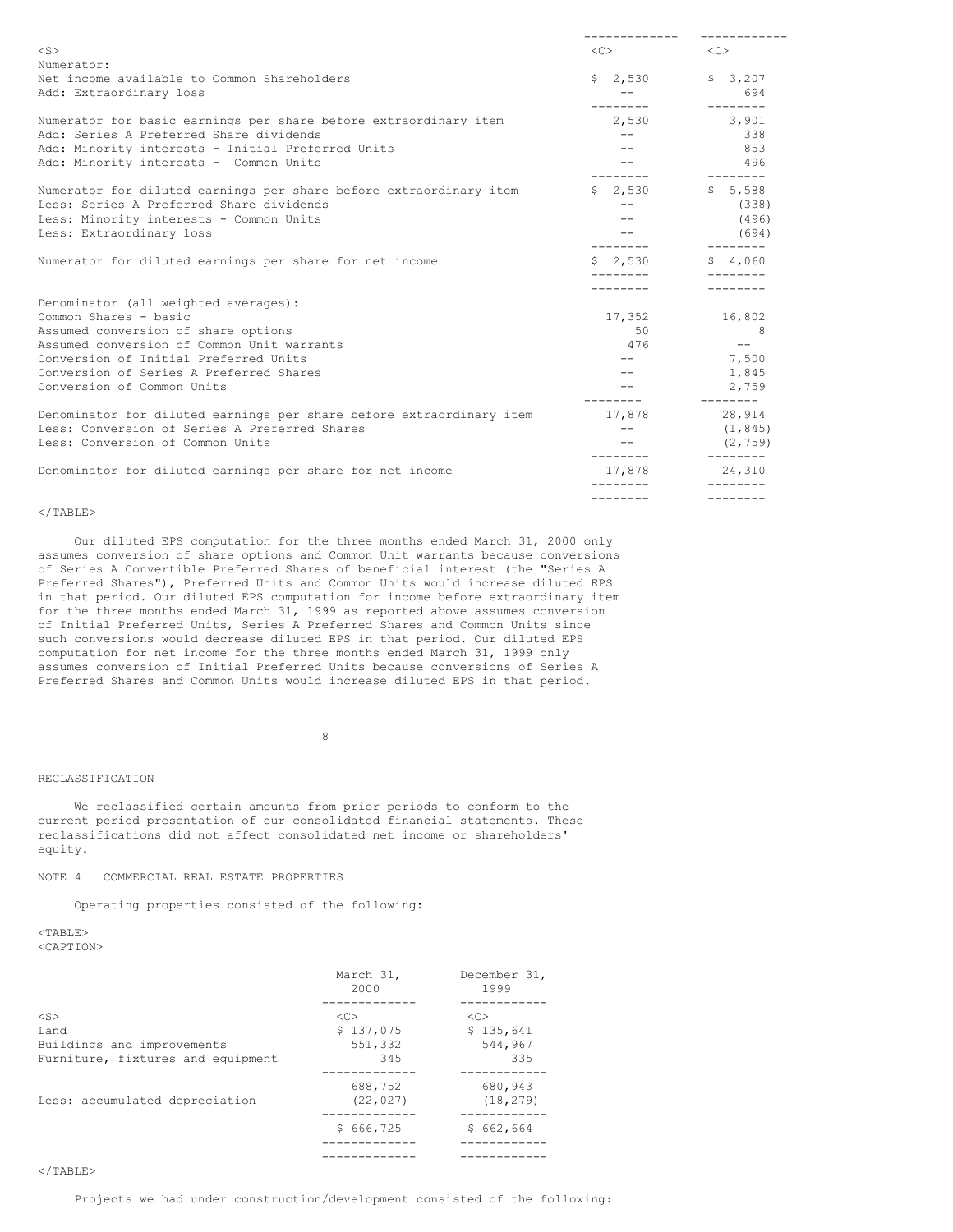| $<$ S $>$                                                            | $\langle C \rangle$ | $\langle C \rangle$        |
|----------------------------------------------------------------------|---------------------|----------------------------|
| Numerator:                                                           |                     |                            |
| Net income available to Common Shareholders                          | $$2,530$ $$3,207$   |                            |
| Add: Extraordinary loss                                              | $ -$                | 694                        |
|                                                                      | ---------           | $- - - - - - - -$          |
| Numerator for basic earnings per share before extraordinary item     | 2,530 3,901         |                            |
| Add: Series A Preferred Share dividends                              | $---$               | 338                        |
| Add: Minority interests - Initial Preferred Units                    |                     | 853                        |
| Add: Minority interests - Common Units                               |                     | 496                        |
|                                                                      |                     |                            |
| Numerator for diluted earnings per share before extraordinary item   | $$2,530$ $$5,588$   |                            |
| Less: Series A Preferred Share dividends                             | $- -$               | (338)                      |
| Less: Minority interests - Common Units                              | $- -$               | (496)                      |
| Less: Extraordinary loss                                             | $--$                | (694)                      |
|                                                                      | ---------           | $- - - - - - - -$          |
| Numerator for diluted earnings per share for net income              | $S = 2.530$         | \$4.060                    |
|                                                                      |                     |                            |
|                                                                      |                     |                            |
| Denominator (all weighted averages):                                 |                     |                            |
| Common Shares - basic                                                | 17,352 16,802       |                            |
| Assumed conversion of share options                                  | 50                  | $\overline{\phantom{a}}$ 8 |
| Assumed conversion of Common Unit warrants                           | 476                 | $--$                       |
| Conversion of Initial Preferred Units                                |                     | 7,500                      |
| Conversion of Series A Preferred Shares                              | $- -$               | 1,845                      |
| Conversion of Common Units                                           |                     | 2,759                      |
|                                                                      |                     | $- - - - - - - -$          |
| Denominator for diluted earnings per share before extraordinary item | 17,878              | 28,914                     |
| Less: Conversion of Series A Preferred Shares                        | $- -$               | (1, 845)                   |
| Less: Conversion of Common Units                                     |                     | (2, 759)                   |
|                                                                      | ---------           | $- - - - - - - -$          |
| Denominator for diluted earnings per share for net income            | 17,878              | 24,310                     |
|                                                                      |                     |                            |
|                                                                      | --------            | $- - - - - - - -$          |

## $<$ /TABLE>

Our diluted EPS computation for the three months ended March 31, 2000 only assumes conversion of share options and Common Unit warrants because conversions of Series A Convertible Preferred Shares of beneficial interest (the "Series A Preferred Shares"), Preferred Units and Common Units would increase diluted EPS in that period. Our diluted EPS computation for income before extraordinary item for the three months ended March 31, 1999 as reported above assumes conversion of Initial Preferred Units, Series A Preferred Shares and Common Units since such conversions would decrease diluted EPS in that period. Our diluted EPS computation for net income for the three months ended March 31, 1999 only assumes conversion of Initial Preferred Units because conversions of Series A Preferred Shares and Common Units would increase diluted EPS in that period.

8

#### RECLASSIFICATION

We reclassified certain amounts from prior periods to conform to the current period presentation of our consolidated financial statements. These reclassifications did not affect consolidated net income or shareholders' equity.

NOTE 4 COMMERCIAL REAL ESTATE PROPERTIES

Operating properties consisted of the following:

<TABLE> <CAPTION>

|                                   | March 31,<br>2000    | December 31,<br>1999 |
|-----------------------------------|----------------------|----------------------|
|                                   |                      |                      |
| $<$ S $>$                         | < <sub></sub>        | <<>                  |
| Land                              | \$137,075            | \$135,641            |
| Buildings and improvements        | 551,332              | 544,967              |
| Furniture, fixtures and equipment | 345                  | 335                  |
| Less: accumulated depreciation    | 688,752<br>(22, 027) | 680,943<br>(18, 279) |
|                                   | \$666,725            | \$662,664            |
|                                   |                      |                      |

# $<$ /TABLE>

Projects we had under construction/development consisted of the following: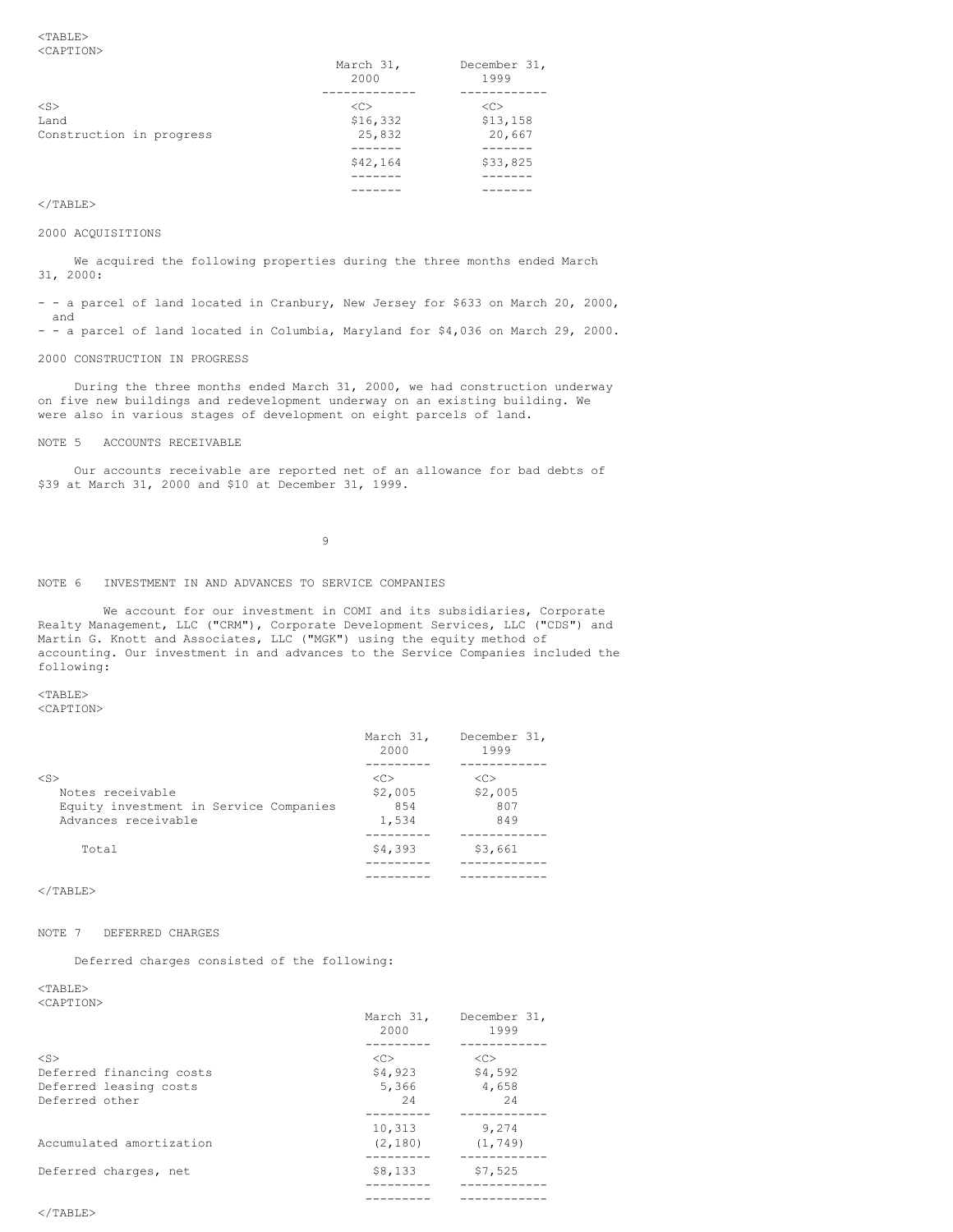<TABLE> <CAPTION>

| .                        | March 31,<br>2000 | December 31,<br>1999 |
|--------------------------|-------------------|----------------------|
| $<$ S>                   | < <sub></sub>     | <<                   |
| Land                     | \$16,332          | \$13,158             |
| Construction in progress | 25,832            | 20,667               |
|                          |                   |                      |
|                          | \$42,164          | \$33,825             |
|                          |                   |                      |
|                          |                   |                      |

# $<$ /TABLE>

#### 2000 ACQUISITIONS

We acquired the following properties during the three months ended March 31, 2000:

- - a parcel of land located in Cranbury, New Jersey for \$633 on March 20, 2000, and

- - a parcel of land located in Columbia, Maryland for \$4,036 on March 29, 2000.

# 2000 CONSTRUCTION IN PROGRESS

During the three months ended March 31, 2000, we had construction underway on five new buildings and redevelopment underway on an existing building. We were also in various stages of development on eight parcels of land.

#### NOTE 5 ACCOUNTS RECEIVABLE

Our accounts receivable are reported net of an allowance for bad debts of \$39 at March 31, 2000 and \$10 at December 31, 1999.

9

# NOTE 6 INVESTMENT IN AND ADVANCES TO SERVICE COMPANIES

We account for our investment in COMI and its subsidiaries, Corporate Realty Management, LLC ("CRM"), Corporate Development Services, LLC ("CDS") and Martin G. Knott and Associates, LLC ("MGK") using the equity method of accounting. Our investment in and advances to the Service Companies included the following:

<TABLE>

<CAPTION>

|                                        | March 31,<br>2000 | December 31,<br>1999 |
|----------------------------------------|-------------------|----------------------|
|                                        |                   |                      |
| $<$ S>                                 | < <sub></sub>     | $\langle C \rangle$  |
| Notes receivable                       | \$2,005           | \$2,005              |
| Equity investment in Service Companies | 854               | 807                  |
| Advances receivable                    | 1,534             | 849                  |
|                                        |                   |                      |
| Total                                  | \$4,393           | \$3,661              |
|                                        |                   |                      |
|                                        |                   |                      |

 $<$ /TABLE>

# NOTE 7 DEFERRED CHARGES

Deferred charges consisted of the following:

<TABLE>  $5.557$ 

| <caption></caption>      | March 31,<br>2000 | December 31,<br>1999 |
|--------------------------|-------------------|----------------------|
|                          |                   |                      |
| $<$ S>                   | <<                | < <sub></sub>        |
| Deferred financing costs | \$4,923           | \$4,592              |
| Deferred leasing costs   | 5,366             | 4,658                |
| Deferred other           | 2.4               | 2.4                  |
|                          | 10,313            | 9,274                |
| Accumulated amortization | (2, 180)          | (1, 749)             |
| Deferred charges, net    | \$8,133           | \$7,525              |
|                          |                   |                      |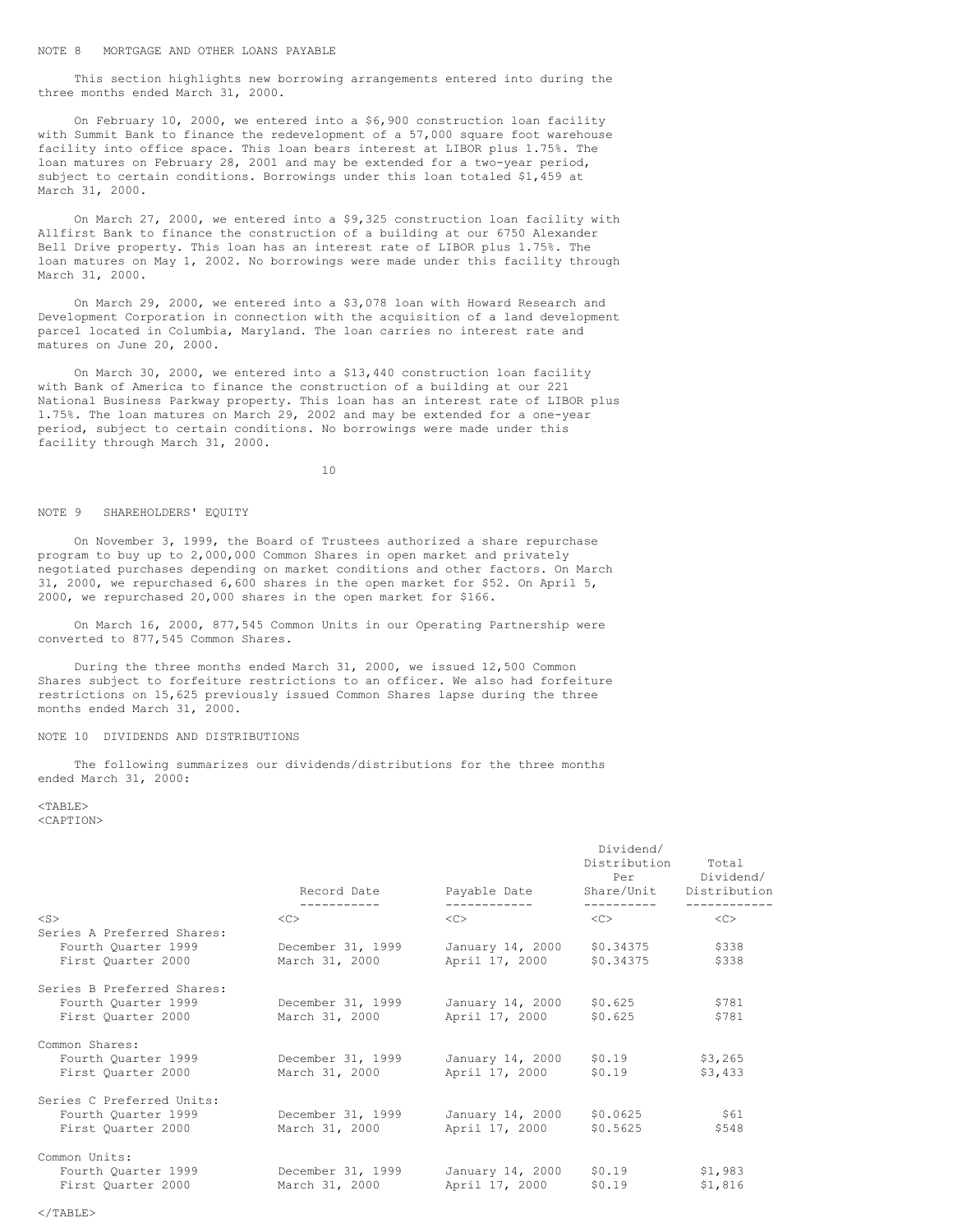This section highlights new borrowing arrangements entered into during the three months ended March 31, 2000.

On February 10, 2000, we entered into a \$6,900 construction loan facility with Summit Bank to finance the redevelopment of a 57,000 square foot warehouse facility into office space. This loan bears interest at LIBOR plus 1.75%. The loan matures on February 28, 2001 and may be extended for a two-year period, subject to certain conditions. Borrowings under this loan totaled \$1,459 at March 31, 2000.

On March 27, 2000, we entered into a \$9,325 construction loan facility with Allfirst Bank to finance the construction of a building at our 6750 Alexander Bell Drive property. This loan has an interest rate of LIBOR plus 1.75%. The loan matures on May 1, 2002. No borrowings were made under this facility through March 31, 2000.

On March 29, 2000, we entered into a \$3,078 loan with Howard Research and Development Corporation in connection with the acquisition of a land development parcel located in Columbia, Maryland. The loan carries no interest rate and matures on June 20, 2000.

On March 30, 2000, we entered into a \$13,440 construction loan facility with Bank of America to finance the construction of a building at our 221 National Business Parkway property. This loan has an interest rate of LIBOR plus 1.75%. The loan matures on March 29, 2002 and may be extended for a one-year period, subject to certain conditions. No borrowings were made under this facility through March 31, 2000.

10

## NOTE 9 SHAREHOLDERS' EQUITY

On November 3, 1999, the Board of Trustees authorized a share repurchase program to buy up to 2,000,000 Common Shares in open market and privately negotiated purchases depending on market conditions and other factors. On March 31, 2000, we repurchased 6,600 shares in the open market for \$52. On April 5, 2000, we repurchased 20,000 shares in the open market for \$166.

On March 16, 2000, 877,545 Common Units in our Operating Partnership were converted to 877,545 Common Shares.

During the three months ended March 31, 2000, we issued 12,500 Common Shares subject to forfeiture restrictions to an officer. We also had forfeiture restrictions on 15,625 previously issued Common Shares lapse during the three months ended March 31, 2000.

# NOTE 10 DIVIDENDS AND DISTRIBUTIONS

The following summarizes our dividends/distributions for the three months ended March 31, 2000:

 $<$ TABLE> <CAPTION>

|                                                   | Record Date       | Payable Date            | Dividend/<br>Distribution<br>Per | Total<br>Dividend/<br>Share/Unit Distribution |
|---------------------------------------------------|-------------------|-------------------------|----------------------------------|-----------------------------------------------|
|                                                   | -----------       | ------------            | -----------                      | ------------                                  |
| $<$ S $>$                                         | < <sub></sub>     | $<<$ $>>$               | $\langle C \rangle$              | $<<$ $>>$                                     |
| Series A Preferred Shares:<br>Fourth Quarter 1999 | December 31, 1999 | January 14, 2000        | \$0.34375                        | \$338                                         |
| First Ouarter 2000                                | March 31, 2000    | April 17, 2000          | \$0.34375                        | \$338                                         |
|                                                   |                   |                         |                                  |                                               |
| Series B Preferred Shares:                        |                   |                         |                                  |                                               |
| Fourth Quarter 1999                               | December 31, 1999 | January 14, 2000        | \$0.625                          | \$781                                         |
| First Quarter 2000                                | March 31, 2000    | April 17, 2000          | \$0.625                          | \$781                                         |
|                                                   |                   |                         |                                  |                                               |
| Common Shares:                                    |                   |                         |                                  |                                               |
| Fourth Quarter 1999                               | December 31, 1999 | January 14, 2000 \$0.19 |                                  | \$3,265                                       |
| First Quarter 2000                                | March 31, 2000    | April 17, 2000          | \$0.19                           | \$3,433                                       |
|                                                   |                   |                         |                                  |                                               |
| Series C Preferred Units:                         |                   |                         |                                  |                                               |
| Fourth Quarter 1999                               | December 31, 1999 | January 14, 2000        | \$0.0625                         | \$61                                          |
| First Quarter 2000                                | March 31, 2000    | April 17, 2000          | \$0.5625                         | \$548                                         |
| Common Units:                                     |                   |                         |                                  |                                               |
| Fourth Quarter 1999                               | December 31, 1999 | January 14, 2000        | \$0.19                           | \$1,983                                       |
| First Quarter 2000                                | March 31, 2000    | April 17, 2000          | \$0.19                           | \$1,816                                       |
|                                                   |                   |                         |                                  |                                               |

 $\langle$ /TABLE>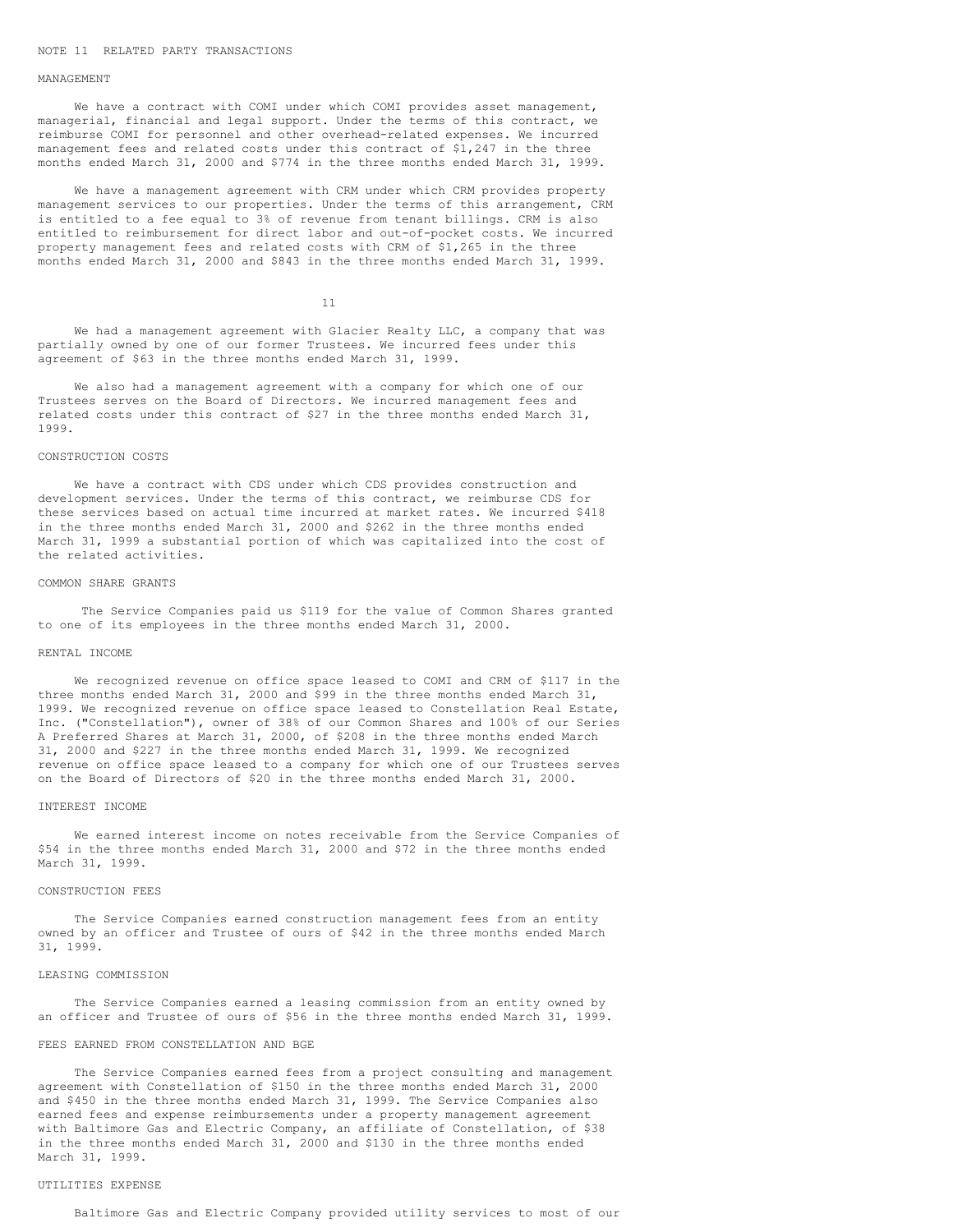#### NOTE 11 RELATED PARTY TRANSACTIONS

### MANAGEMENT

We have a contract with COMI under which COMI provides asset management, managerial, financial and legal support. Under the terms of this contract, we reimburse COMI for personnel and other overhead-related expenses. We incurred management fees and related costs under this contract of \$1,247 in the three months ended March 31, 2000 and \$774 in the three months ended March 31, 1999.

We have a management agreement with CRM under which CRM provides property management services to our properties. Under the terms of this arrangement, CRM is entitled to a fee equal to 3% of revenue from tenant billings. CRM is also entitled to reimbursement for direct labor and out-of-pocket costs. We incurred property management fees and related costs with CRM of \$1,265 in the three months ended March 31, 2000 and \$843 in the three months ended March 31, 1999.

11

We had a management agreement with Glacier Realty LLC, a company that was partially owned by one of our former Trustees. We incurred fees under this agreement of \$63 in the three months ended March 31, 1999.

We also had a management agreement with a company for which one of our Trustees serves on the Board of Directors. We incurred management fees and related costs under this contract of \$27 in the three months ended March 31, 1999.

### CONSTRUCTION COSTS

We have a contract with CDS under which CDS provides construction and development services. Under the terms of this contract, we reimburse CDS for these services based on actual time incurred at market rates. We incurred \$418 in the three months ended March 31, 2000 and \$262 in the three months ended March 31, 1999 a substantial portion of which was capitalized into the cost of the related activities.

## COMMON SHARE GRANTS

The Service Companies paid us \$119 for the value of Common Shares granted to one of its employees in the three months ended March 31, 2000.

#### RENTAL INCOME

We recognized revenue on office space leased to COMI and CRM of \$117 in the three months ended March 31, 2000 and \$99 in the three months ended March 31, 1999. We recognized revenue on office space leased to Constellation Real Estate, Inc. ("Constellation"), owner of 38% of our Common Shares and 100% of our Series A Preferred Shares at March 31, 2000, of \$208 in the three months ended March 31, 2000 and \$227 in the three months ended March 31, 1999. We recognized revenue on office space leased to a company for which one of our Trustees serves on the Board of Directors of \$20 in the three months ended March 31, 2000.

#### INTEREST INCOME

We earned interest income on notes receivable from the Service Companies of \$54 in the three months ended March 31, 2000 and \$72 in the three months ended March 31, 1999.

### CONSTRUCTION FEES

The Service Companies earned construction management fees from an entity owned by an officer and Trustee of ours of \$42 in the three months ended March 31, 1999.

## LEASING COMMISSION

The Service Companies earned a leasing commission from an entity owned by an officer and Trustee of ours of \$56 in the three months ended March 31, 1999.

#### FEES EARNED FROM CONSTELLATION AND BGE

The Service Companies earned fees from a project consulting and management agreement with Constellation of \$150 in the three months ended March 31, 2000 and \$450 in the three months ended March 31, 1999. The Service Companies also earned fees and expense reimbursements under a property management agreement with Baltimore Gas and Electric Company, an affiliate of Constellation, of \$38 in the three months ended March 31, 2000 and \$130 in the three months ended March 31, 1999.

#### UTILITIES EXPENSE

Baltimore Gas and Electric Company provided utility services to most of our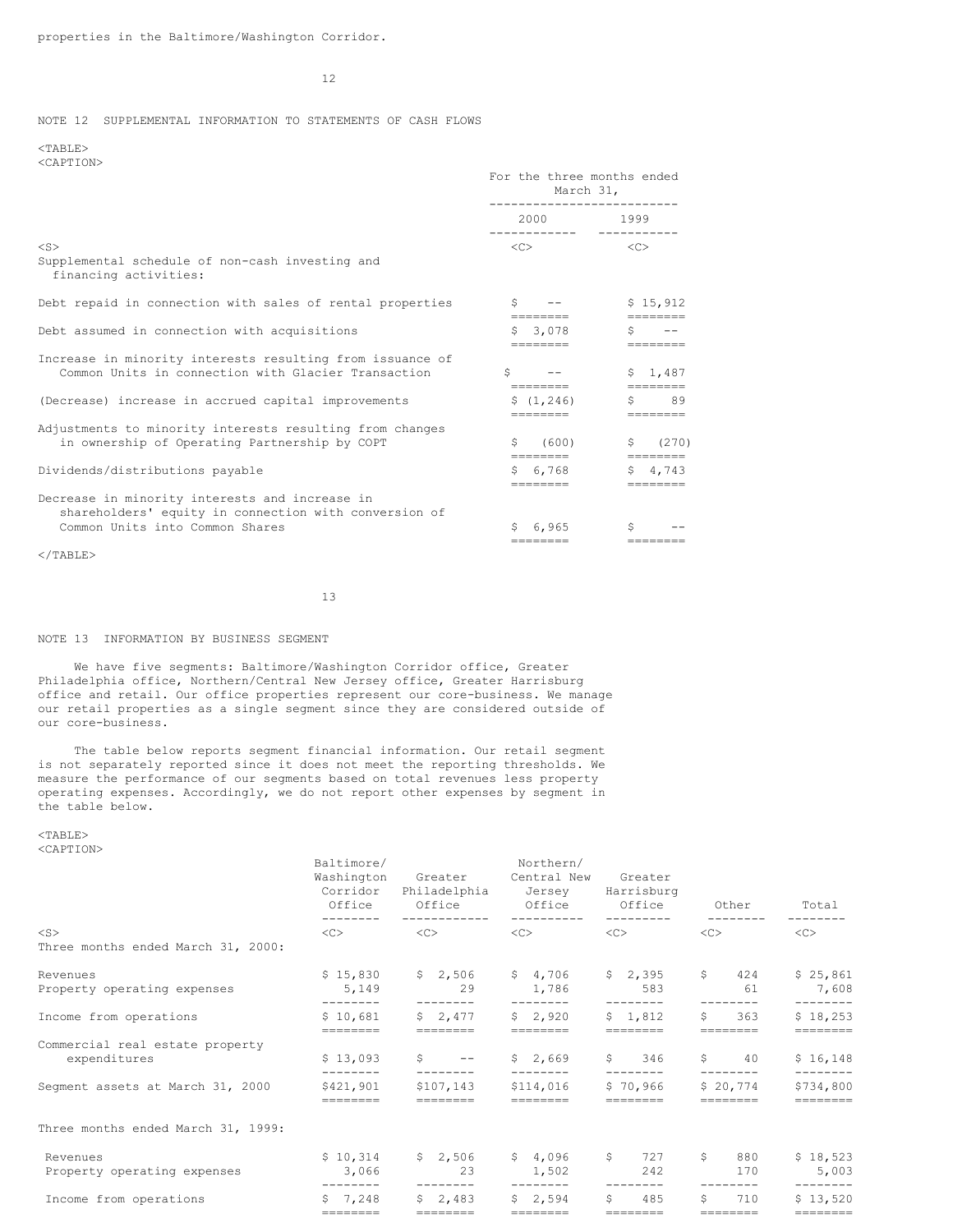12

# NOTE 12 SUPPLEMENTAL INFORMATION TO STATEMENTS OF CASH FLOWS

<TABLE> <CAPTION>

|                                                                                                                  | For the three months ended<br>March 31,     |                         |  |  |
|------------------------------------------------------------------------------------------------------------------|---------------------------------------------|-------------------------|--|--|
|                                                                                                                  | 2000 1999<br>------------          -------- |                         |  |  |
| $<$ S $>$<br>Supplemental schedule of non-cash investing and<br>financing activities:                            | < <sub></sub>                               | $\langle C \rangle$     |  |  |
| Debt repaid in connection with sales of rental properties                                                        | $S \t - -$<br>========                      | \$15.912                |  |  |
| Debt assumed in connection with acquisitions                                                                     | \$3,078<br>========                         | S.<br>========          |  |  |
| Increase in minority interests resulting from issuance of<br>Common Units in connection with Glacier Transaction | Ŝ.<br>========                              | \$1.487<br>========     |  |  |
| (Decrease) increase in accrued capital improvements                                                              | \$(1, 246)<br>========                      | $S$ 89<br>========      |  |  |
| Adjustments to minority interests resulting from changes<br>in ownership of Operating Partnership by COPT        | (600)                                       | (270)<br><b>Beechee</b> |  |  |
| Dividends/distributions payable                                                                                  | $5\quad 6.768$<br>--------                  | $5 \quad 4.743$         |  |  |
| Decrease in minority interests and increase in<br>shareholders' equity in connection with conversion of          |                                             |                         |  |  |
| Common Units into Common Shares                                                                                  | 6.965<br>========                           | Ŝ.<br>--------          |  |  |
|                                                                                                                  |                                             |                         |  |  |

 $<$ /TABLE>

13

# NOTE 13 INFORMATION BY BUSINESS SEGMENT

We have five segments: Baltimore/Washington Corridor office, Greater Philadelphia office, Northern/Central New Jersey office, Greater Harrisburg office and retail. Our office properties represent our core-business. We manage our retail properties as a single segment since they are considered outside of our core-business.

The table below reports segment financial information. Our retail segment is not separately reported since it does not meet the reporting thresholds. We measure the performance of our segments based on total revenues less property operating expenses. Accordingly, we do not report other expenses by segment in the table below.

<TABLE> <CAPTION>

|                                                 | Baltimore/<br>Washington<br>Office | Greater<br>Corridor Philadelphia Jersey<br>Office | Northern/<br>Central New<br>Office Office | Greater<br>Harrisburg           | Other                       | Total                                     |
|-------------------------------------------------|------------------------------------|---------------------------------------------------|-------------------------------------------|---------------------------------|-----------------------------|-------------------------------------------|
| $<$ S $>$                                       | $\langle$ C> $\rangle$             | $\langle C \rangle$                               | $\langle C \rangle$                       | $\langle C \rangle$             | $<<$ $>>$                   | $<<$ $>>$                                 |
| Three months ended March 31, 2000:              |                                    |                                                   |                                           |                                 |                             |                                           |
| Revenues<br>Property operating expenses         | \$15,830<br>5,149                  | 29                                                | $$2,506$ $$4,706$<br>1,786                | \$2,395<br>583                  | \$424<br>61                 | \$25,861<br>7,608                         |
| Income from operations                          | ---------<br>\$10,681              | $- - - - - - - -$<br>$5 \quad 2.477$<br>========  | --------<br>\$2.920<br>========           | --------<br>\$1.812<br>======== | S<br>363<br>========        | $- - - - - - - -$<br>\$18,253<br>======== |
| Commercial real estate property<br>expenditures | \$13,093<br>--------               | $S \qquad --$<br>--------                         | \$2,669<br>--------                       | \$346<br>---------              | $\mathsf{S}$ 40<br>-------- | \$16,148<br>---------                     |
| Segment assets at March 31, 2000                | \$421,901<br>=======               | \$107,143<br>========                             | \$114,016<br>========                     | \$70,966<br>========            | \$20,774<br>========        | \$734,800<br>--------                     |
| Three months ended March 31, 1999:              |                                    |                                                   |                                           |                                 |                             |                                           |
| Revenues<br>Property operating expenses         | \$10,314<br>3,066<br>--------      | $$2,506$ $$4,096$<br>23<br>---------              | 1,502<br>$- - - - - - - -$                | \$727<br>242<br>--------        | S<br>880<br>170             | \$18,523<br>5,003<br>$- - - - - - - -$    |
| Income from operations                          | $5 \quad 7.248$<br>$=$ ========    | $5 \quad 2.483$<br>--------                       | \$2,594<br>--------                       | Ŝ.<br>485<br>========           | S.<br>710<br>========       | \$13,520<br>$=$ = = = = = = = =           |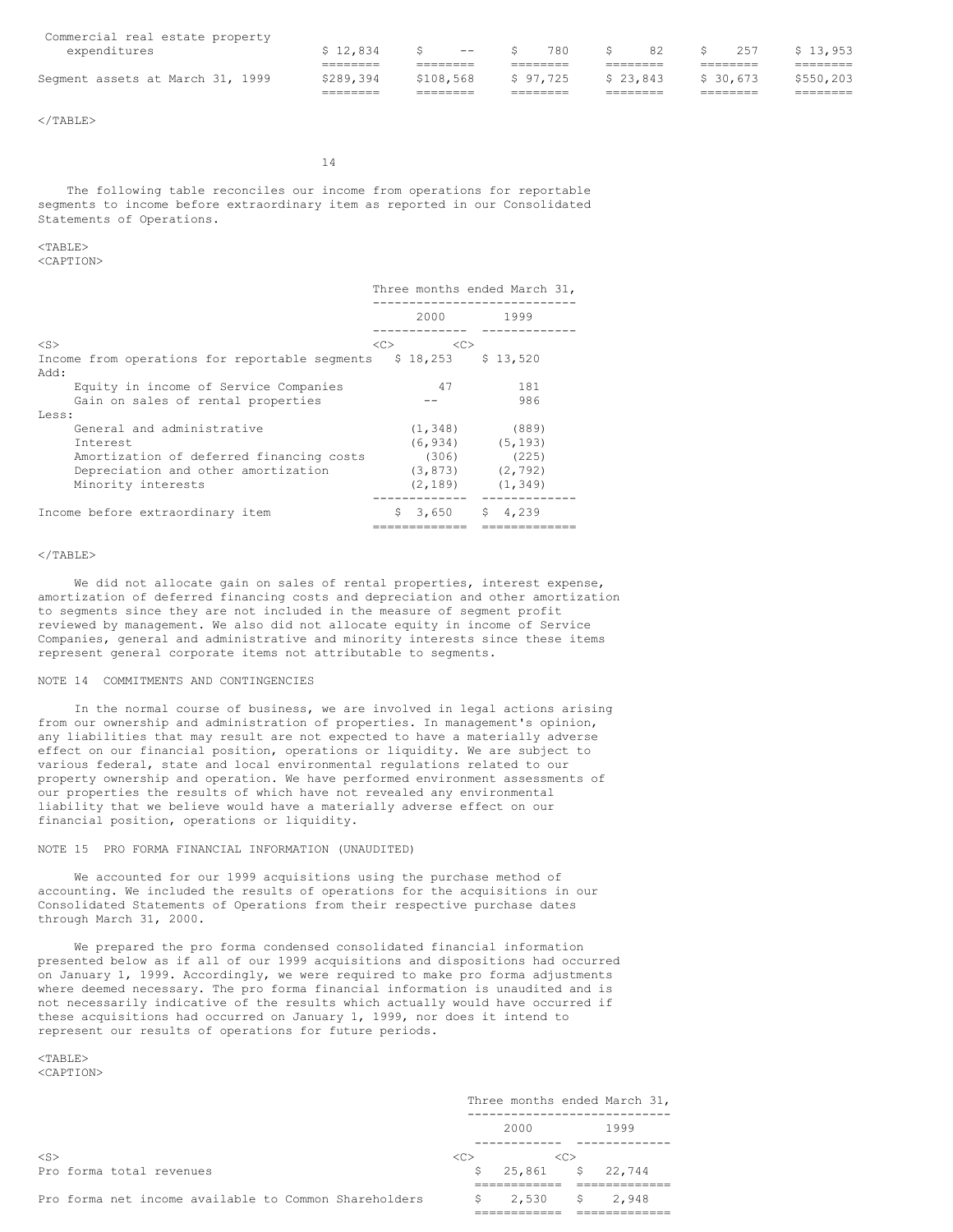| Segment assets at March 31, 1999 | \$289.394 | \$108,568 |           | \$97.725 |     | \$23,843 |    | \$ 30.673 |     | \$550,203 |
|----------------------------------|-----------|-----------|-----------|----------|-----|----------|----|-----------|-----|-----------|
| expenditures                     | \$12.834  |           | $   \sim$ |          | 780 |          | 82 | S.        | 257 | \$13.953  |
| Commercial real estate property  |           |           |           |          |     |          |    |           |     |           |

 $\langle$ /TABLE>

14

The following table reconciles our income from operations for reportable segments to income before extraordinary item as reported in our Consolidated Statements of Operations.

# $<$ TABLE>

<CAPTION>

|                                                                    |                                                                                                                                                                                                                                 | Three months ended March 31, |
|--------------------------------------------------------------------|---------------------------------------------------------------------------------------------------------------------------------------------------------------------------------------------------------------------------------|------------------------------|
|                                                                    | 2000 - 2000 - 2000 - 2000 - 2000 - 2000 - 2000 - 2000 - 2000 - 2000 - 2000 - 2000 - 2000 - 2000 - 2000 - 2000 - 2000 - 2000 - 2000 - 2000 - 2000 - 2000 - 2000 - 2000 - 2000 - 2000 - 2000 - 2000 - 2000 - 2000 - 2000 - 2000 - | 1999                         |
| $<$ S $>$                                                          | <<><br>< <sub></sub>                                                                                                                                                                                                            |                              |
| Income from operations for reportable segments $$18,253$ $$13,520$ |                                                                                                                                                                                                                                 |                              |
| : Add                                                              |                                                                                                                                                                                                                                 |                              |
| Equity in income of Service Companies                              | 47                                                                                                                                                                                                                              | 181                          |
| Gain on sales of rental properties                                 |                                                                                                                                                                                                                                 | 986                          |
| Less:                                                              |                                                                                                                                                                                                                                 |                              |
| General and administrative                                         | (1, 348)                                                                                                                                                                                                                        | (889)                        |
| <b>Tnterest</b>                                                    |                                                                                                                                                                                                                                 | $(6, 934)$ $(5, 193)$        |
| Amortization of deferred financing costs                           | (306)                                                                                                                                                                                                                           | (225)                        |
| Depreciation and other amortization                                | (3, 873)                                                                                                                                                                                                                        | (2, 792)                     |
| Minority interests                                                 | (2, 189)                                                                                                                                                                                                                        | (1, 349)                     |
| Income before extraordinary item                                   | \$3,650                                                                                                                                                                                                                         | \$4,239                      |

# $\langle$ /TABLE>

We did not allocate gain on sales of rental properties, interest expense, amortization of deferred financing costs and depreciation and other amortization to segments since they are not included in the measure of segment profit reviewed by management. We also did not allocate equity in income of Service Companies, general and administrative and minority interests since these items represent general corporate items not attributable to segments.

#### NOTE 14 COMMITMENTS AND CONTINGENCIES

In the normal course of business, we are involved in legal actions arising from our ownership and administration of properties. In management's opinion, any liabilities that may result are not expected to have a materially adverse effect on our financial position, operations or liquidity. We are subject to various federal, state and local environmental regulations related to our property ownership and operation. We have performed environment assessments of our properties the results of which have not revealed any environmental liability that we believe would have a materially adverse effect on our financial position, operations or liquidity.

# NOTE 15 PRO FORMA FINANCIAL INFORMATION (UNAUDITED)

We accounted for our 1999 acquisitions using the purchase method of accounting. We included the results of operations for the acquisitions in our Consolidated Statements of Operations from their respective purchase dates through March 31, 2000.

We prepared the pro forma condensed consolidated financial information presented below as if all of our 1999 acquisitions and dispositions had occurred on January 1, 1999. Accordingly, we were required to make pro forma adjustments where deemed necessary. The pro forma financial information is unaudited and is not necessarily indicative of the results which actually would have occurred if these acquisitions had occurred on January 1, 1999, nor does it intend to represent our results of operations for future periods.

 $<$ TABLE> <CAPTION>

|                                                       |                     |                     |               | Three months ended March 31, |
|-------------------------------------------------------|---------------------|---------------------|---------------|------------------------------|
|                                                       |                     | 2000 -              |               | 1999                         |
| $<$ S $>$                                             | $\langle C \rangle$ |                     | < <sub></sub> |                              |
| Pro forma total revenues                              |                     | $$25,861$ $$22,744$ |               |                              |
| Pro forma net income available to Common Shareholders |                     | $$2,530$ $$2,948$   |               |                              |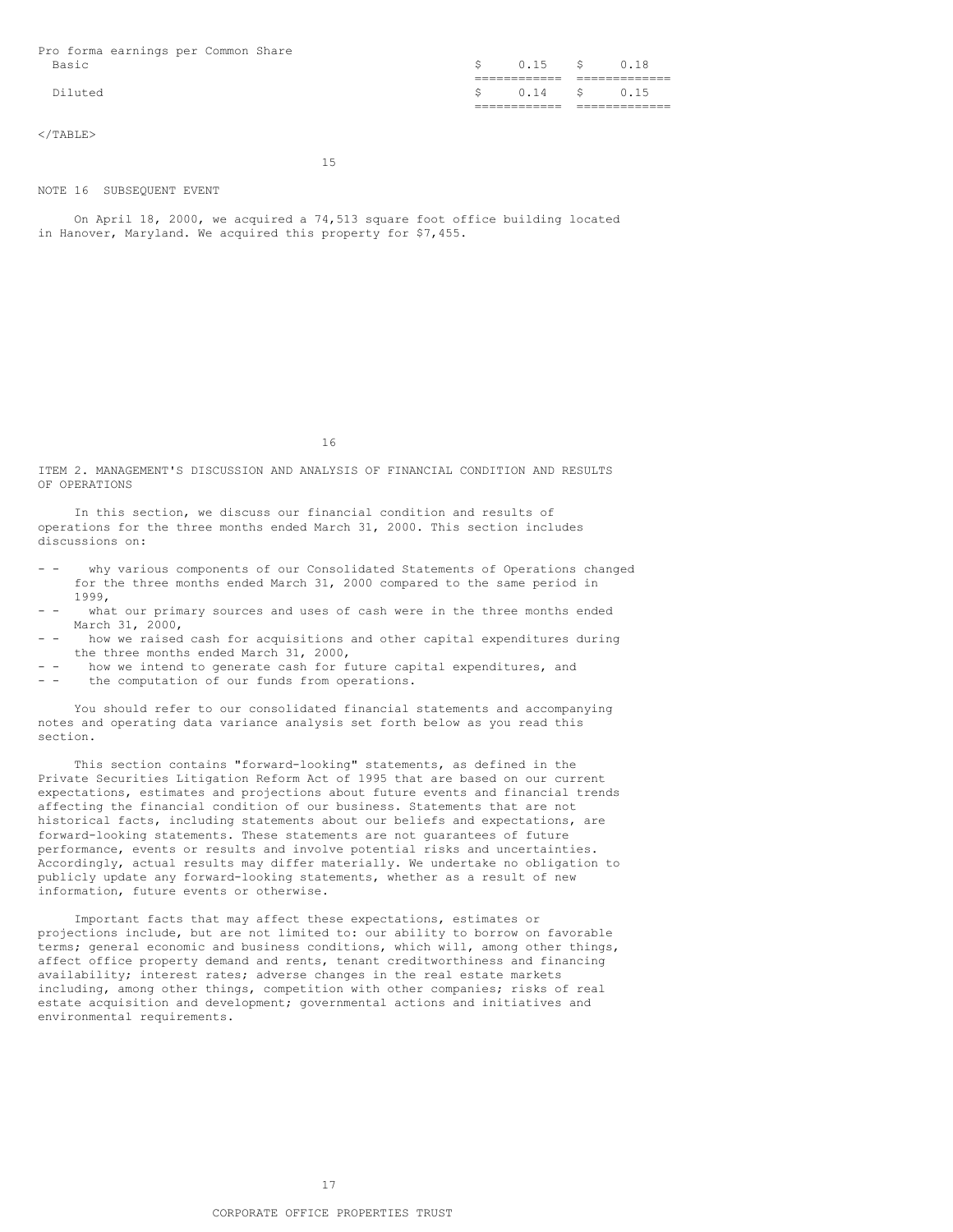Pro forma earnings per Common Share Basic  $\sim$  0.15 \$ 0.18

Diluted \$ 0.14 \$ 0.15

 $<$ /TABLE>

15

============ =============

============ =============

# NOTE 16 SUBSEQUENT EVENT

On April 18, 2000, we acquired a 74,513 square foot office building located in Hanover, Maryland. We acquired this property for \$7,455.

16

ITEM 2. MANAGEMENT'S DISCUSSION AND ANALYSIS OF FINANCIAL CONDITION AND RESULTS OF OPERATIONS

In this section, we discuss our financial condition and results of operations for the three months ended March 31, 2000. This section includes discussions on:

- - why various components of our Consolidated Statements of Operations changed for the three months ended March 31, 2000 compared to the same period in 1999,
- what our primary sources and uses of cash were in the three months ended March 31, 2000,
- - how we raised cash for acquisitions and other capital expenditures during the three months ended March 31, 2000,
- - how we intend to generate cash for future capital expenditures, and
- - the computation of our funds from operations.

You should refer to our consolidated financial statements and accompanying notes and operating data variance analysis set forth below as you read this section.

This section contains "forward-looking" statements, as defined in the Private Securities Litigation Reform Act of 1995 that are based on our current expectations, estimates and projections about future events and financial trends affecting the financial condition of our business. Statements that are not historical facts, including statements about our beliefs and expectations, are forward-looking statements. These statements are not guarantees of future performance, events or results and involve potential risks and uncertainties. Accordingly, actual results may differ materially. We undertake no obligation to publicly update any forward-looking statements, whether as a result of new information, future events or otherwise.

Important facts that may affect these expectations, estimates or projections include, but are not limited to: our ability to borrow on favorable terms; general economic and business conditions, which will, among other things, affect office property demand and rents, tenant creditworthiness and financing availability; interest rates; adverse changes in the real estate markets including, among other things, competition with other companies; risks of real estate acquisition and development; governmental actions and initiatives and environmental requirements.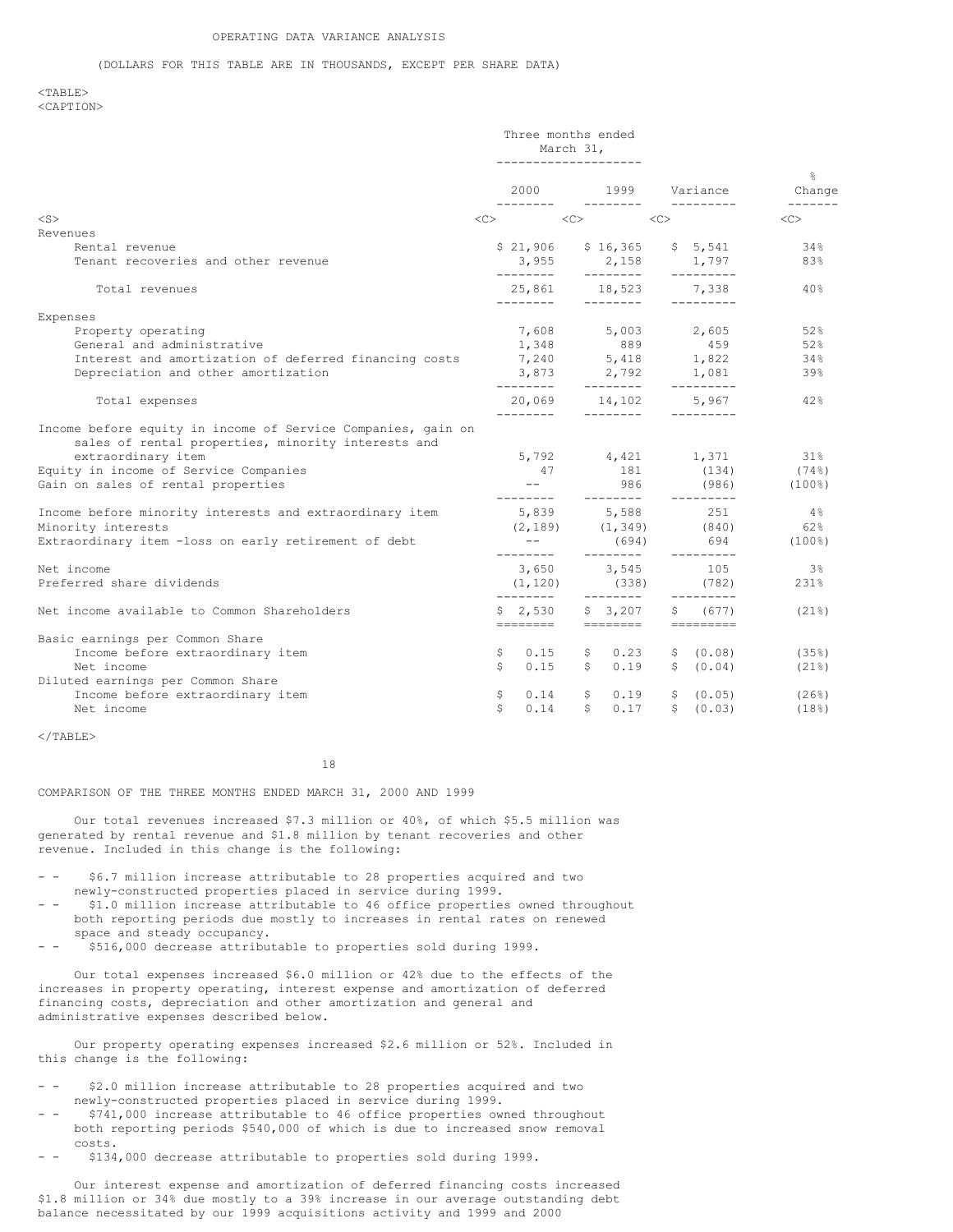#### (DOLLARS FOR THIS TABLE ARE IN THOUSANDS, EXCEPT PER SHARE DATA)

#### $<$ TABLE> <CAPTION>

|                                                                                                                                                                                                                         |           | Three months ended<br>March 31, |              |                         |    |                                                          |                                          |
|-------------------------------------------------------------------------------------------------------------------------------------------------------------------------------------------------------------------------|-----------|---------------------------------|--------------|-------------------------|----|----------------------------------------------------------|------------------------------------------|
|                                                                                                                                                                                                                         |           | 2000                            |              | 1999                    |    | Variance                                                 | $\frac{6}{10}$<br>Change                 |
| $<$ S $>$                                                                                                                                                                                                               | $<<$ $>>$ |                                 | < <c></c>    |                         | << |                                                          | <<>                                      |
| Revenues                                                                                                                                                                                                                |           |                                 |              |                         |    |                                                          |                                          |
| Rental revenue                                                                                                                                                                                                          |           |                                 |              |                         |    | $$21,906$ $$16,365$ $$5,541$                             | 34%                                      |
| Tenant recoveries and other revenue                                                                                                                                                                                     |           |                                 |              | ---------               |    | 3,955 2,158 1,797<br>----------                          | 83%                                      |
| Total revenues                                                                                                                                                                                                          |           |                                 |              | 25,861 18,523           |    | 7.338                                                    | 40%                                      |
| Expenses                                                                                                                                                                                                                |           |                                 |              |                         |    |                                                          |                                          |
| Property operating                                                                                                                                                                                                      |           |                                 |              |                         |    | $7,608$ $5,003$ $2,605$                                  | 52%                                      |
| General and administrative                                                                                                                                                                                              |           | 1,348                           |              | 889                     |    | 459                                                      | 52%                                      |
| Interest and amortization of deferred financing costs                                                                                                                                                                   |           |                                 |              |                         |    | $7,240$ 5,418 1,822                                      | 34%                                      |
| Depreciation and other amortization                                                                                                                                                                                     |           | ---------                       |              | ________                |    | 3,873 2,792 1,081<br>---------                           | 39%                                      |
| Total expenses                                                                                                                                                                                                          |           | 20,069 14,102                   |              |                         |    | 5,967                                                    | 42%                                      |
| Income before equity in income of Service Companies, gain on<br>sales of rental properties, minority interests and<br>extraordinary item<br>Equity in income of Service Companies<br>Gain on sales of rental properties |           | 47<br>$ -$<br>---------         |              | 181<br>986<br>--------- |    | 5,792 4,421 1,371<br>(134)<br>(986)<br>---------         | $31\%$<br>(74%)<br>$(100$ <sup>8</sup> ) |
| Income before minority interests and extraordinary item                                                                                                                                                                 |           | 5,839                           |              | 5,588                   |    | 251                                                      | $4\%$                                    |
| Minority interests                                                                                                                                                                                                      |           | (2, 189)                        |              | (1, 349)                |    | (840)                                                    | 62%                                      |
| Extraordinary item -loss on early retirement of debt                                                                                                                                                                    |           | ---------                       |              | (694)<br>---------      |    | 694                                                      | $(100$ <sup>8</sup> )                    |
| Net income                                                                                                                                                                                                              |           |                                 |              | 3,650 3,545             |    | ---------<br>105                                         | $3\%$                                    |
| Preferred share dividends                                                                                                                                                                                               |           | (1, 120)<br>---------           |              | (338)                   |    | (782)                                                    | 231%                                     |
| Net income available to Common Shareholders                                                                                                                                                                             |           | $$2,530$ $$3,207$               |              | ---------               | S. | $- - - - - - - - -$<br>(677)<br>-------- ------- ------- | $(21$ <sup>8</sup> )                     |
| Basic earnings per Common Share                                                                                                                                                                                         |           |                                 |              |                         |    |                                                          |                                          |
| Income before extraordinary item                                                                                                                                                                                        |           | \$0.15                          |              | \$0.23                  |    | \$ (0.08)                                                | (35%)                                    |
| Net income                                                                                                                                                                                                              | Ŝ.        |                                 |              | $0.15$ \$ 0.19          |    | \$ (0.04)                                                | $(21$ <sup>8</sup> )                     |
| Diluted earnings per Common Share                                                                                                                                                                                       |           |                                 |              |                         |    |                                                          |                                          |
| Income before extraordinary item                                                                                                                                                                                        | Ş.        | 0.14                            | \$           | 0.19                    |    | \$ (0.05)                                                | (26%)                                    |
| Net income                                                                                                                                                                                                              | \$        | 0.14                            | $\mathsf{S}$ | 0.17                    |    | \$ (0.03)                                                | (18%)                                    |
|                                                                                                                                                                                                                         |           |                                 |              |                         |    |                                                          |                                          |

 $\langle$ /TABLE>

18

### COMPARISON OF THE THREE MONTHS ENDED MARCH 31, 2000 AND 1999

Our total revenues increased \$7.3 million or 40%, of which \$5.5 million was generated by rental revenue and \$1.8 million by tenant recoveries and other revenue. Included in this change is the following:

- \$6.7 million increase attributable to 28 properties acquired and two newly-constructed properties placed in service during 1999.
- \$1.0 million increase attributable to 46 office properties owned throughout both reporting periods due mostly to increases in rental rates on renewed space and steady occupancy.
- - \$516,000 decrease attributable to properties sold during 1999.

Our total expenses increased \$6.0 million or 42% due to the effects of the increases in property operating, interest expense and amortization of deferred financing costs, depreciation and other amortization and general and administrative expenses described below.

Our property operating expenses increased \$2.6 million or 52%. Included in this change is the following:

- \$2.0 million increase attributable to 28 properties acquired and two newly-constructed properties placed in service during 1999.
- \$741,000 increase attributable to 46 office properties owned throughout both reporting periods \$540,000 of which is due to increased snow removal costs.
- - \$134,000 decrease attributable to properties sold during 1999.

Our interest expense and amortization of deferred financing costs increased \$1.8 million or 34% due mostly to a 39% increase in our average outstanding debt balance necessitated by our 1999 acquisitions activity and 1999 and 2000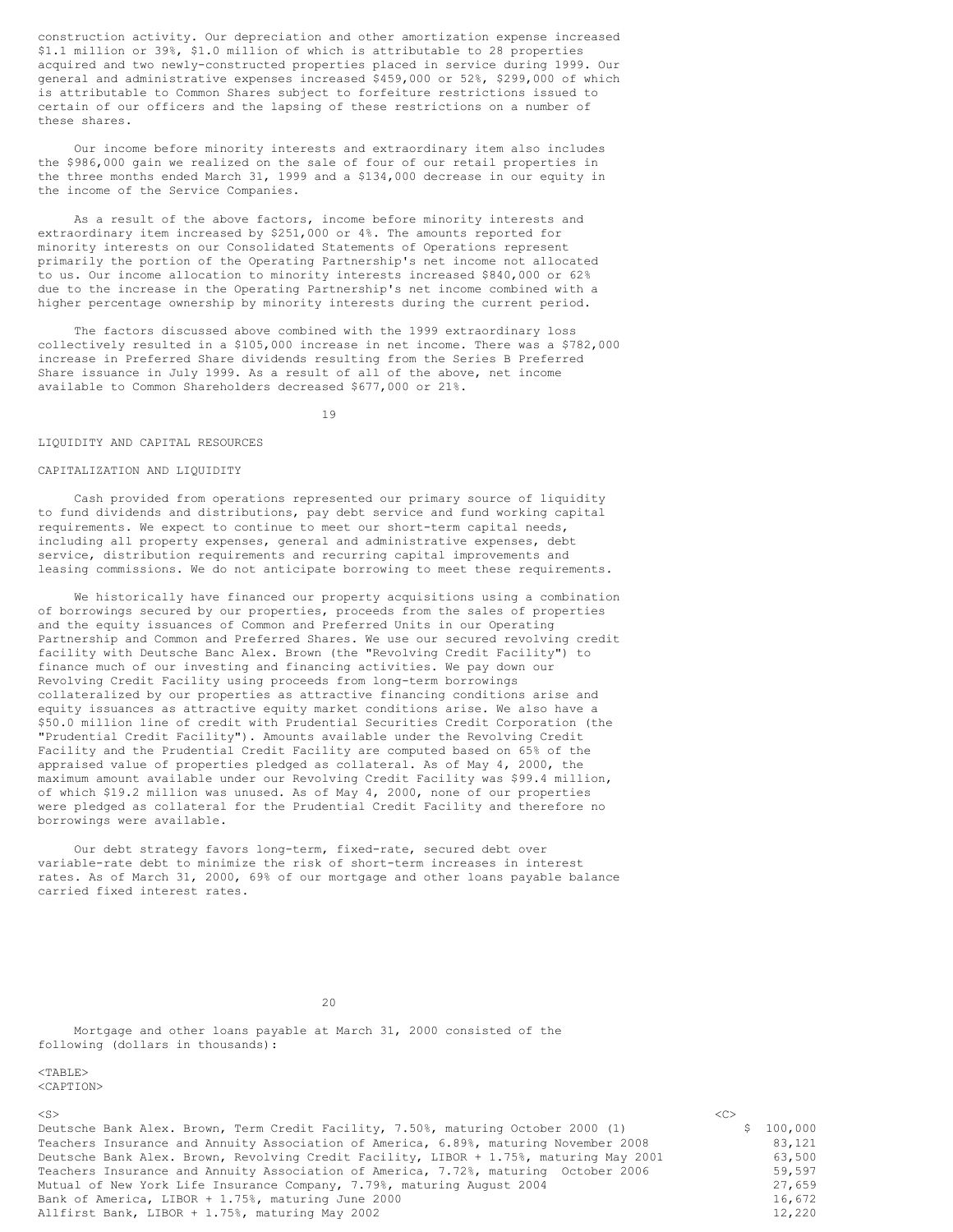construction activity. Our depreciation and other amortization expense increased \$1.1 million or 39%, \$1.0 million of which is attributable to 28 properties acquired and two newly-constructed properties placed in service during 1999. Our general and administrative expenses increased \$459,000 or 52%, \$299,000 of which is attributable to Common Shares subject to forfeiture restrictions issued to certain of our officers and the lapsing of these restrictions on a number of these shares.

Our income before minority interests and extraordinary item also includes the \$986,000 gain we realized on the sale of four of our retail properties in the three months ended March 31, 1999 and a \$134,000 decrease in our equity in the income of the Service Companies.

As a result of the above factors, income before minority interests and extraordinary item increased by \$251,000 or 4%. The amounts reported for minority interests on our Consolidated Statements of Operations represent primarily the portion of the Operating Partnership's net income not allocated to us. Our income allocation to minority interests increased \$840,000 or 62% due to the increase in the Operating Partnership's net income combined with a higher percentage ownership by minority interests during the current period.

The factors discussed above combined with the 1999 extraordinary loss collectively resulted in a \$105,000 increase in net income. There was a \$782,000 increase in Preferred Share dividends resulting from the Series B Preferred Share issuance in July 1999. As a result of all of the above, net income available to Common Shareholders decreased \$677,000 or 21%.

19

#### LIQUIDITY AND CAPITAL RESOURCES

#### CAPITALIZATION AND LIQUIDITY

Cash provided from operations represented our primary source of liquidity to fund dividends and distributions, pay debt service and fund working capital requirements. We expect to continue to meet our short-term capital needs, including all property expenses, general and administrative expenses, debt service, distribution requirements and recurring capital improvements and leasing commissions. We do not anticipate borrowing to meet these requirements.

We historically have financed our property acquisitions using a combination of borrowings secured by our properties, proceeds from the sales of properties and the equity issuances of Common and Preferred Units in our Operating Partnership and Common and Preferred Shares. We use our secured revolving credit facility with Deutsche Banc Alex. Brown (the "Revolving Credit Facility") to finance much of our investing and financing activities. We pay down our Revolving Credit Facility using proceeds from long-term borrowings collateralized by our properties as attractive financing conditions arise and equity issuances as attractive equity market conditions arise. We also have a \$50.0 million line of credit with Prudential Securities Credit Corporation (the "Prudential Credit Facility"). Amounts available under the Revolving Credit Facility and the Prudential Credit Facility are computed based on 65% of the appraised value of properties pledged as collateral. As of May 4, 2000, the maximum amount available under our Revolving Credit Facility was \$99.4 million, of which \$19.2 million was unused. As of May 4, 2000, none of our properties were pledged as collateral for the Prudential Credit Facility and therefore no borrowings were available.

Our debt strategy favors long-term, fixed-rate, secured debt over variable-rate debt to minimize the risk of short-term increases in interest rates. As of March 31, 2000, 69% of our mortgage and other loans payable balance carried fixed interest rates.

 $20$ 

Mortgage and other loans payable at March 31, 2000 consisted of the following (dollars in thousands):

# $<$ TABLE>

<CAPTION>

<S> <C>

Deutsche Bank Alex. Brown, Term Credit Facility, 7.50%, maturing October 2000 (1) \$ 100,000<br>Teachers Insurance and Annuity Association of America, 6.89%, maturing November 2008 83.121 Teachers Insurance and Annuity Association of America, 6.89%, maturing November 2008 Deutsche Bank Alex. Brown, Revolving Credit Facility, LIBOR + 1.75%, maturing May 2001 63,500<br>Teachers Insurance and Annuity Association of America, 7.72%, maturing October 2006 59,597 Teachers Insurance and Annuity Association of America, 7.72%, maturing October 2006 59,597<br>Mutual of New York Life Insurance Company, 7.79%, maturing August 2004 59,597 Mutual of New York Life Insurance Company, 7.79%, maturing August 2004<br>Bank of America, LIBOR + 1.75%, maturing June 2000 Bank of America, LIBOR + 1.75%, maturing June 2000<br>Allfirst Bank, LIBOR + 1.75%, maturing May 2002 Allfirst Bank, LIBOR + 1.75%, maturing May 2002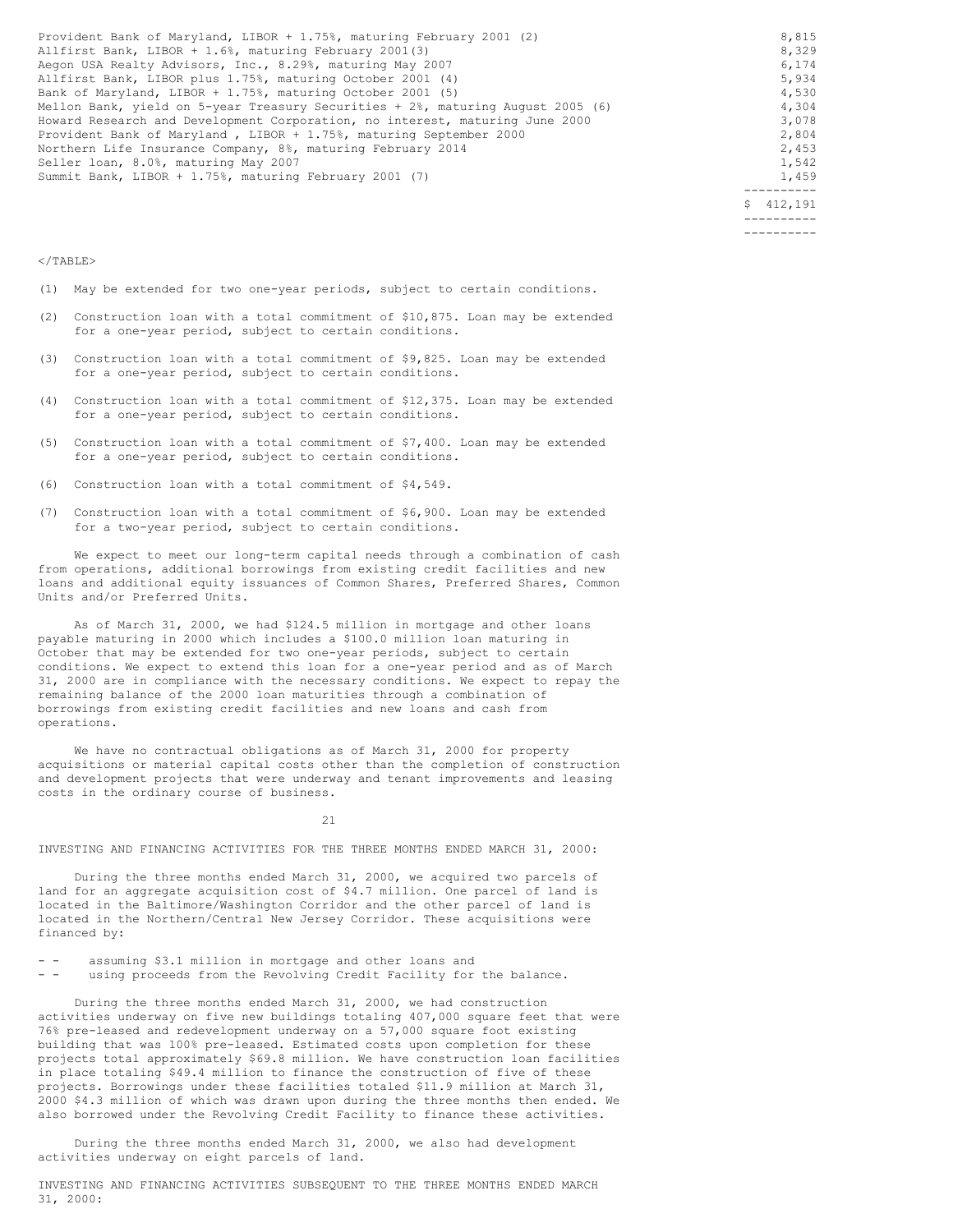| Provident Bank of Maryland, LIBOR + 1.75%, maturing February 2001 (2)           | 8,815     |
|---------------------------------------------------------------------------------|-----------|
| Allfirst Bank, LIBOR + 1.6%, maturing February 2001(3)                          | 8,329     |
| Aegon USA Realty Advisors, Inc., 8.29%, maturing May 2007                       | 6,174     |
| Allfirst Bank, LIBOR plus 1.75%, maturing October 2001 (4)                      | 5,934     |
| Bank of Maryland, LIBOR + 1.75%, maturing October 2001 (5)                      | 4,530     |
| Mellon Bank, yield on 5-year Treasury Securities + 2%, maturing August 2005 (6) | 4,304     |
| Howard Research and Development Corporation, no interest, maturing June 2000    | 3,078     |
| Provident Bank of Maryland, LIBOR + 1.75%, maturing September 2000              | 2,804     |
| Northern Life Insurance Company, 8%, maturing February 2014                     | 2,453     |
| Seller loan, 8.0%, maturing May 2007                                            | 1,542     |
| Summit Bank, LIBOR + 1.75%, maturing February 2001 (7)                          | 1,459     |
|                                                                                 |           |
|                                                                                 | \$412,191 |

---------- ----------

#### $\langle$ /TABLE>

(1) May be extended for two one-year periods, subject to certain conditions.

- (2) Construction loan with a total commitment of \$10,875. Loan may be extended for a one-year period, subject to certain conditions.
- (3) Construction loan with a total commitment of \$9,825. Loan may be extended for a one-year period, subject to certain conditions.
- (4) Construction loan with a total commitment of \$12,375. Loan may be extended for a one-year period, subject to certain conditions.
- (5) Construction loan with a total commitment of \$7,400. Loan may be extended for a one-year period, subject to certain conditions.
- (6) Construction loan with a total commitment of \$4,549.
- (7) Construction loan with a total commitment of \$6,900. Loan may be extended for a two-year period, subject to certain conditions.

We expect to meet our long-term capital needs through a combination of cash from operations, additional borrowings from existing credit facilities and new loans and additional equity issuances of Common Shares, Preferred Shares, Common Units and/or Preferred Units.

As of March 31, 2000, we had \$124.5 million in mortgage and other loans payable maturing in 2000 which includes a \$100.0 million loan maturing in October that may be extended for two one-year periods, subject to certain conditions. We expect to extend this loan for a one-year period and as of March 31, 2000 are in compliance with the necessary conditions. We expect to repay the remaining balance of the 2000 loan maturities through a combination of borrowings from existing credit facilities and new loans and cash from operations.

We have no contractual obligations as of March 31, 2000 for property acquisitions or material capital costs other than the completion of construction and development projects that were underway and tenant improvements and leasing costs in the ordinary course of business.

21

INVESTING AND FINANCING ACTIVITIES FOR THE THREE MONTHS ENDED MARCH 31, 2000:

During the three months ended March 31, 2000, we acquired two parcels of land for an aggregate acquisition cost of \$4.7 million. One parcel of land is located in the Baltimore/Washington Corridor and the other parcel of land is located in the Northern/Central New Jersey Corridor. These acquisitions were financed by:

- - assuming \$3.1 million in mortgage and other loans and<br>- - using proceeds from the Bevolving Credit Facility for

using proceeds from the Revolving Credit Facility for the balance.

During the three months ended March 31, 2000, we had construction activities underway on five new buildings totaling 407,000 square feet that were 76% pre-leased and redevelopment underway on a 57,000 square foot existing building that was 100% pre-leased. Estimated costs upon completion for these projects total approximately \$69.8 million. We have construction loan facilities in place totaling \$49.4 million to finance the construction of five of these projects. Borrowings under these facilities totaled \$11.9 million at March 31, 2000 \$4.3 million of which was drawn upon during the three months then ended. We also borrowed under the Revolving Credit Facility to finance these activities.

During the three months ended March 31, 2000, we also had development activities underway on eight parcels of land.

INVESTING AND FINANCING ACTIVITIES SUBSEQUENT TO THE THREE MONTHS ENDED MARCH 31, 2000: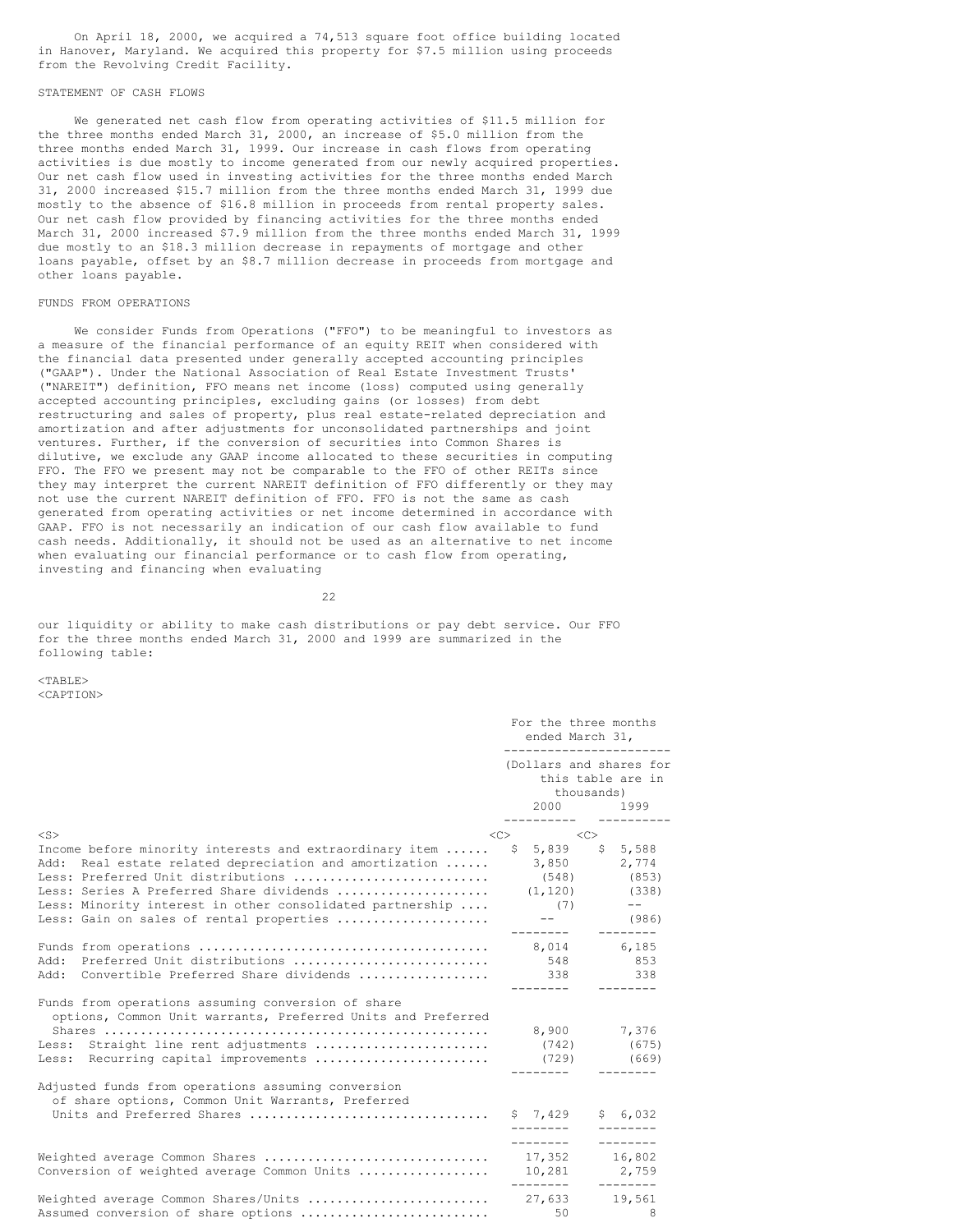On April 18, 2000, we acquired a 74,513 square foot office building located in Hanover, Maryland. We acquired this property for \$7.5 million using proceeds from the Revolving Credit Facility.

## STATEMENT OF CASH FLOWS

We generated net cash flow from operating activities of \$11.5 million for the three months ended March 31, 2000, an increase of \$5.0 million from the three months ended March 31, 1999. Our increase in cash flows from operating activities is due mostly to income generated from our newly acquired properties. Our net cash flow used in investing activities for the three months ended March 31, 2000 increased \$15.7 million from the three months ended March 31, 1999 due mostly to the absence of \$16.8 million in proceeds from rental property sales. Our net cash flow provided by financing activities for the three months ended March 31, 2000 increased \$7.9 million from the three months ended March 31, 1999 due mostly to an \$18.3 million decrease in repayments of mortgage and other loans payable, offset by an \$8.7 million decrease in proceeds from mortgage and other loans payable.

#### FUNDS FROM OPERATIONS

We consider Funds from Operations ("FFO") to be meaningful to investors as a measure of the financial performance of an equity REIT when considered with the financial data presented under generally accepted accounting principles ("GAAP"). Under the National Association of Real Estate Investment Trusts' ("NAREIT") definition, FFO means net income (loss) computed using generally accepted accounting principles, excluding gains (or losses) from debt restructuring and sales of property, plus real estate-related depreciation and amortization and after adjustments for unconsolidated partnerships and joint ventures. Further, if the conversion of securities into Common Shares is dilutive, we exclude any GAAP income allocated to these securities in computing FFO. The FFO we present may not be comparable to the FFO of other REITs since they may interpret the current NAREIT definition of FFO differently or they may not use the current NAREIT definition of FFO. FFO is not the same as cash generated from operating activities or net income determined in accordance with GAAP. FFO is not necessarily an indication of our cash flow available to fund cash needs. Additionally, it should not be used as an alternative to net income when evaluating our financial performance or to cash flow from operating, investing and financing when evaluating

22

our liquidity or ability to make cash distributions or pay debt service. Our FFO for the three months ended March 31, 2000 and 1999 are summarized in the following table:

 $<$ TABLE> <CAPTION>

|                                                                                                                                                                                                                                                                                                                                 | For the three months<br>ended March 31,<br>----------------------- |                                                                                                |  |
|---------------------------------------------------------------------------------------------------------------------------------------------------------------------------------------------------------------------------------------------------------------------------------------------------------------------------------|--------------------------------------------------------------------|------------------------------------------------------------------------------------------------|--|
|                                                                                                                                                                                                                                                                                                                                 |                                                                    | (Dollars and shares for<br>this table are in<br>thousands)<br>2000 1999                        |  |
| $<$ S>                                                                                                                                                                                                                                                                                                                          | $\langle C \rangle$ $\langle C \rangle$                            |                                                                                                |  |
| Income before minority interests and extraordinary item  \$ 5,839 \$ 5,588<br>Add: Real estate related depreciation and amortization<br>Less: Preferred Unit distributions<br>Less: Series A Preferred Share dividends<br>Less: Minority interest in other consolidated partnership<br>Less: Gain on sales of rental properties | (7)<br>---------                                                   | $3,850$ $2,774$<br>(548) (853)<br>(853)<br>$(1, 120)$ (338)<br>$--$<br>$---$ (986)<br>-------- |  |
| Add: Convertible Preferred Share dividends                                                                                                                                                                                                                                                                                      | ---------                                                          | 8,014 6,185<br>338 339<br>338                                                                  |  |
| Funds from operations assuming conversion of share<br>options, Common Unit warrants, Preferred Units and Preferred<br>Less: Straight line rent adjustments                                                                                                                                                                      | (742)<br>________                                                  | 8,900 7,376<br>(675)                                                                           |  |
| Adjusted funds from operations assuming conversion<br>of share options, Common Unit Warrants, Preferred                                                                                                                                                                                                                         | \$7,429<br>---------                                               | \$6,032                                                                                        |  |
| Weighted average Common Shares  17,352 16,802<br>Conversion of weighted average Common Units  10,281 2,759                                                                                                                                                                                                                      | ---------                                                          | ---------<br>$- - - - - - - -$                                                                 |  |
| Assumed conversion of share options                                                                                                                                                                                                                                                                                             | 50                                                                 | $\overline{8}$                                                                                 |  |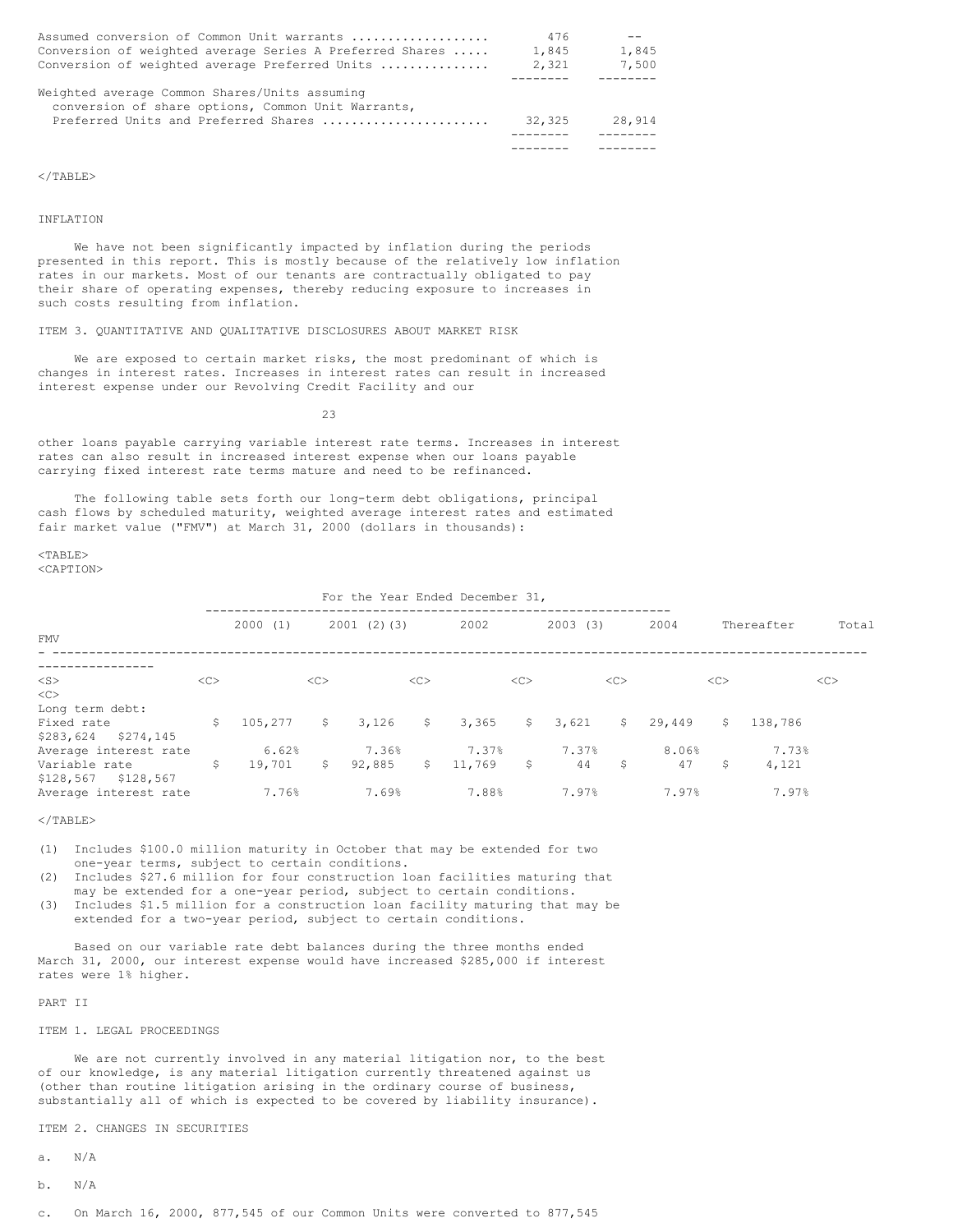| Assumed conversion of Common Unit warrants                                                          | 476    |        |
|-----------------------------------------------------------------------------------------------------|--------|--------|
| Conversion of weighted average Series A Preferred Shares                                            | 1,845  | 1,845  |
| Conversion of weighted average Preferred Units                                                      | 2.321  | 7,500  |
|                                                                                                     |        |        |
| Weighted average Common Shares/Units assuming<br>conversion of share options, Common Unit Warrants, |        |        |
| Preferred Units and Preferred Shares                                                                | 32,325 | 28,914 |
|                                                                                                     |        |        |
|                                                                                                     |        |        |

 $\langle$ /TABLE>

INFLATION

We have not been significantly impacted by inflation during the periods presented in this report. This is mostly because of the relatively low inflation rates in our markets. Most of our tenants are contractually obligated to pay their share of operating expenses, thereby reducing exposure to increases in such costs resulting from inflation.

## ITEM 3. QUANTITATIVE AND QUALITATIVE DISCLOSURES ABOUT MARKET RISK

We are exposed to certain market risks, the most predominant of which is changes in interest rates. Increases in interest rates can result in increased interest expense under our Revolving Credit Facility and our

23

other loans payable carrying variable interest rate terms. Increases in interest rates can also result in increased interest expense when our loans payable carrying fixed interest rate terms mature and need to be refinanced.

The following table sets forth our long-term debt obligations, principal cash flows by scheduled maturity, weighted average interest rates and estimated fair market value ("FMV") at March 31, 2000 (dollars in thousands):

 $<$ TABLE> <CAPTION>

|                        |                |         |              |            |              | For the Year Ended December 31, |              |             |    |        |    |            |       |
|------------------------|----------------|---------|--------------|------------|--------------|---------------------------------|--------------|-------------|----|--------|----|------------|-------|
| <b>FMV</b>             |                | 2000(1) |              | 2001(2)(3) |              | 2002                            |              | 2003<br>(3) |    | 2004   |    | Thereafter | Total |
|                        |                |         |              |            |              |                                 |              |             |    |        |    |            |       |
| $<$ S $>$              | < <sub></sub>  |         | <<           |            | <<           |                                 | <<           |             | << |        | << |            | <<    |
| <<                     |                |         |              |            |              |                                 |              |             |    |        |    |            |       |
| Long term debt:        |                |         |              |            |              |                                 |              |             |    |        |    |            |       |
| Fixed rate             | $\mathsf{S}^-$ | 105,277 | $\mathsf{S}$ | 3,126      | $\mathsf{S}$ | 3,365                           | $\mathsf{S}$ | 3,621       | \$ | 29,449 | S. | 138,786    |       |
| \$283,624<br>\$274,145 |                |         |              |            |              |                                 |              |             |    |        |    |            |       |
| Average interest rate  |                | 6.62%   |              | 7.36%      |              | 7.37%                           |              | 7.37%       |    | 8.06%  |    | 7.73%      |       |
| Variable rate          | \$             | 19,701  | S.           | 92,885     | $\mathsf{S}$ | 11,769                          | \$           | 44          | \$ | 47     | \$ | 4,121      |       |
| \$128,567<br>\$128,567 |                |         |              |            |              |                                 |              |             |    |        |    |            |       |
| Average interest rate  |                | 7.76%   |              | 7.69%      |              | 7.88%                           |              | 7.97%       |    | 7.97%  |    | 7.97%      |       |

 $<$ /TABLE>

- (1) Includes \$100.0 million maturity in October that may be extended for two one-year terms, subject to certain conditions.
- (2) Includes \$27.6 million for four construction loan facilities maturing that may be extended for a one-year period, subject to certain conditions.
- (3) Includes \$1.5 million for a construction loan facility maturing that may be extended for a two-year period, subject to certain conditions.

Based on our variable rate debt balances during the three months ended March 31, 2000, our interest expense would have increased \$285,000 if interest rates were 1% higher.

PART II

#### ITEM 1. LEGAL PROCEEDINGS

We are not currently involved in any material litigation nor, to the best of our knowledge, is any material litigation currently threatened against us (other than routine litigation arising in the ordinary course of business, substantially all of which is expected to be covered by liability insurance).

ITEM 2. CHANGES IN SECURITIES

- a. N/A
- b. N/A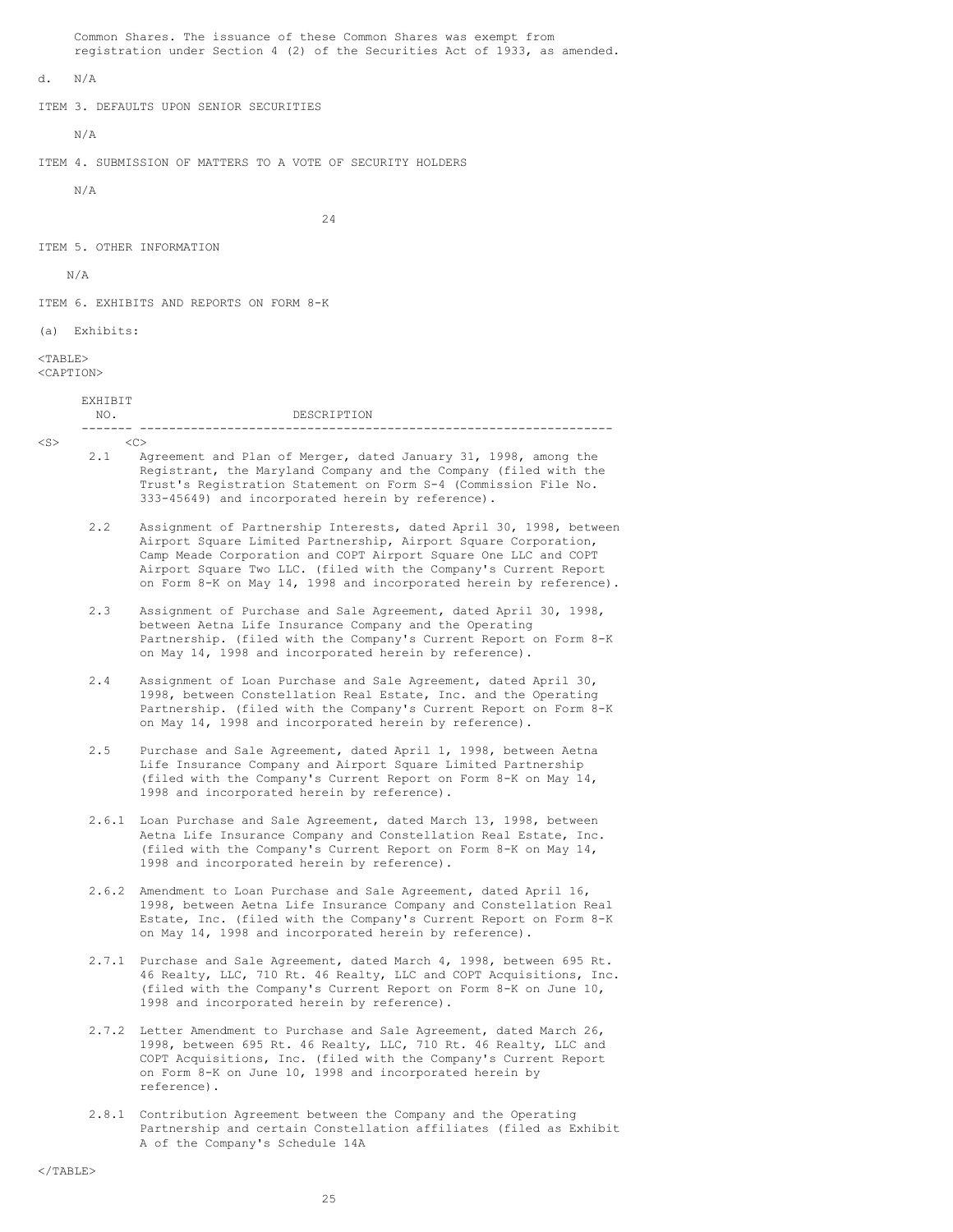Common Shares. The issuance of these Common Shares was exempt from registration under Section 4 (2) of the Securities Act of 1933, as amended.

d. N/A

ITEM 3. DEFAULTS UPON SENIOR SECURITIES

N/A

ITEM 4. SUBMISSION OF MATTERS TO A VOTE OF SECURITY HOLDERS

N/A

24

ITEM 5. OTHER INFORMATION

N/A

ITEM 6. EXHIBITS AND REPORTS ON FORM 8-K

(a) Exhibits:

EXHIBIT

 $<$ TABLE> <CAPTION>

|           | .<br>NO. | DESCRIPTION                                                                                                                                                                                                                                                                  |
|-----------|----------|------------------------------------------------------------------------------------------------------------------------------------------------------------------------------------------------------------------------------------------------------------------------------|
| $<$ S $>$ |          | $\langle C \rangle$                                                                                                                                                                                                                                                          |
|           | 2.1      | Agreement and Plan of Merger, dated January 31, 1998, among the<br>Registrant, the Maryland Company and the Company (filed with the<br>Trust's Registration Statement on Form S-4 (Commission File No.<br>333-45649) and incorporated herein by reference).                  |
|           | 2.2      | Assignment of Partnership Interests, dated April 30, 1998, between<br>Airport Square Limited Partnership, Airport Square Corporation,<br>Camp Meade Corporation and COPT Airport Square One LLC and COPT<br>Airport Square Two LLC. (filed with the Company's Current Report |

2.3 Assignment of Purchase and Sale Agreement, dated April 30, 1998, between Aetna Life Insurance Company and the Operating Partnership. (filed with the Company's Current Report on Form 8-K on May 14, 1998 and incorporated herein by reference).

on Form 8-K on May 14, 1998 and incorporated herein by reference).

- 2.4 Assignment of Loan Purchase and Sale Agreement, dated April 30, 1998, between Constellation Real Estate, Inc. and the Operating Partnership. (filed with the Company's Current Report on Form 8-K on May 14, 1998 and incorporated herein by reference).
- 2.5 Purchase and Sale Agreement, dated April 1, 1998, between Aetna Life Insurance Company and Airport Square Limited Partnership (filed with the Company's Current Report on Form 8-K on May 14, 1998 and incorporated herein by reference).
- 2.6.1 Loan Purchase and Sale Agreement, dated March 13, 1998, between Aetna Life Insurance Company and Constellation Real Estate, Inc. (filed with the Company's Current Report on Form 8-K on May 14, 1998 and incorporated herein by reference).
- 2.6.2 Amendment to Loan Purchase and Sale Agreement, dated April 16, 1998, between Aetna Life Insurance Company and Constellation Real Estate, Inc. (filed with the Company's Current Report on Form 8-K on May 14, 1998 and incorporated herein by reference).
- 2.7.1 Purchase and Sale Agreement, dated March 4, 1998, between 695 Rt. 46 Realty, LLC, 710 Rt. 46 Realty, LLC and COPT Acquisitions, Inc. (filed with the Company's Current Report on Form 8-K on June 10, 1998 and incorporated herein by reference).
- 2.7.2 Letter Amendment to Purchase and Sale Agreement, dated March 26, 1998, between 695 Rt. 46 Realty, LLC, 710 Rt. 46 Realty, LLC and COPT Acquisitions, Inc. (filed with the Company's Current Report on Form 8-K on June 10, 1998 and incorporated herein by reference).
- 2.8.1 Contribution Agreement between the Company and the Operating Partnership and certain Constellation affiliates (filed as Exhibit A of the Company's Schedule 14A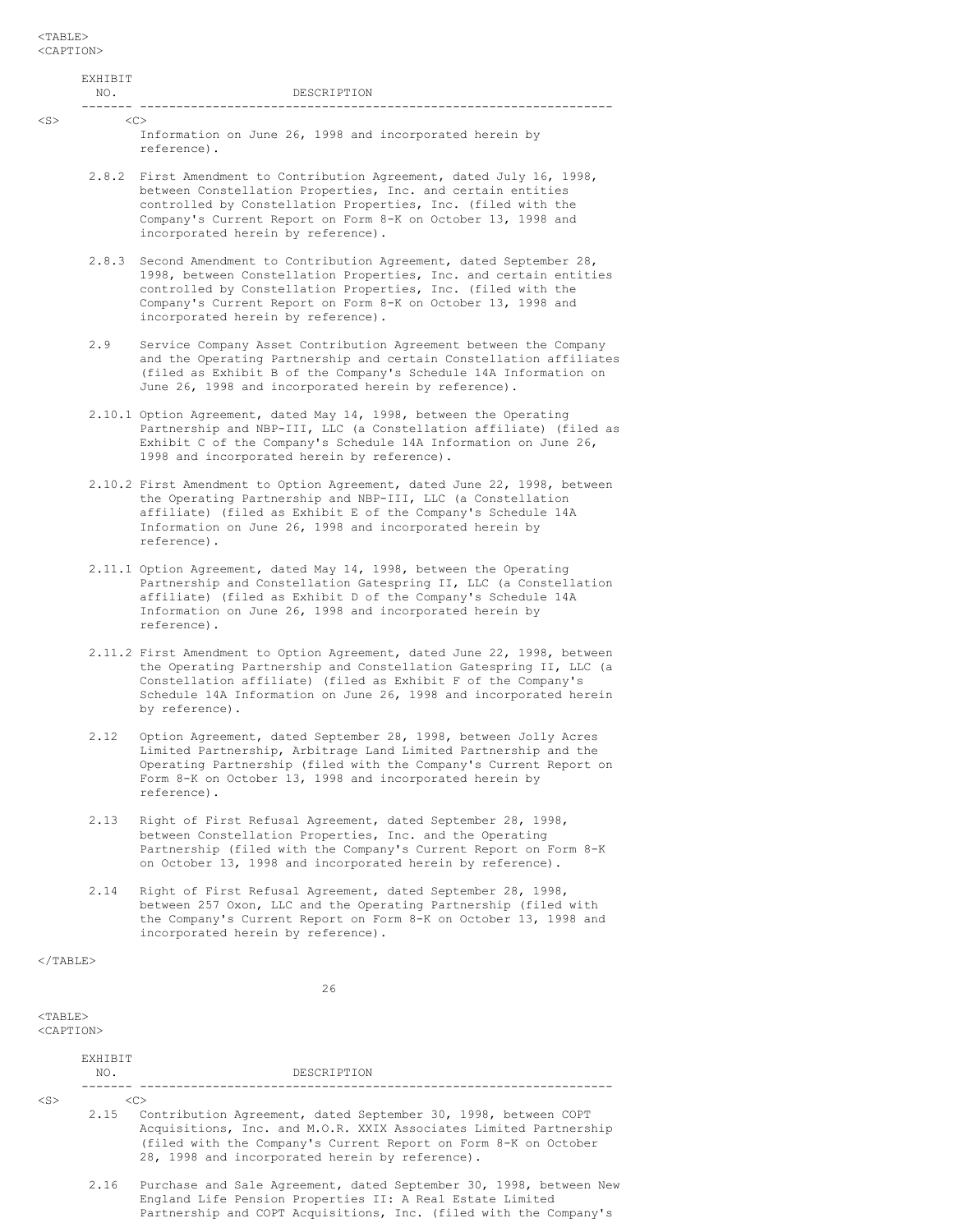| $<$ TABLE $>$<br><caption></caption> |                                                                                                                                                                                                                                                                                                            |
|--------------------------------------|------------------------------------------------------------------------------------------------------------------------------------------------------------------------------------------------------------------------------------------------------------------------------------------------------------|
| <b>EXHIBIT</b><br>NO.                | DESCRIPTION                                                                                                                                                                                                                                                                                                |
| $<$ S $>$                            | < <sub><br/>Information on June 26, 1998 and incorporated herein by<br/>reference).</sub>                                                                                                                                                                                                                  |
|                                      | 2.8.2 First Amendment to Contribution Agreement, dated July 16, 1998,<br>between Constellation Properties, Inc. and certain entities<br>controlled by Constellation Properties, Inc. (filed with the<br>Company's Current Report on Form 8-K on October 13, 1998 and<br>incorporated herein by reference). |
| 2.8.3                                | Second Amendment to Contribution Agreement, dated September 28,<br>1998, between Constellation Properties, Inc. and certain entities<br>controlled by Constellation Properties, Inc. (filed with the<br>Company's Current Report on Form 8-K on October 13, 1998 and<br>incorporated herein by reference). |
| 2.9                                  | Service Company Asset Contribution Agreement between the Company<br>and the Operating Partnership and certain Constellation affiliates<br>(filed as Exhibit B of the Company's Schedule 14A Information on<br>June 26, 1998 and incorporated herein by reference).                                         |
|                                      | 2.10.1 Option Agreement, dated May 14, 1998, between the Operating<br>Partnership and NBP-III, LLC (a Constellation affiliate) (filed as<br>Exhibit C of the Company's Schedule 14A Information on June 26,<br>1998 and incorporated herein by reference).                                                 |
|                                      | 2.10.2 First Amendment to Option Agreement, dated June 22, 1998, between<br>the Operating Partnership and NBP-III, LLC (a Constellation<br>affiliate) (filed as Exhibit E of the Company's Schedule 14A<br>Information on June 26, 1998 and incorporated herein by<br>reference).                          |
|                                      | 2.11.1 Option Agreement, dated May 14, 1998, between the Operating<br>Partnership and Constellation Gatespring II, LLC (a Constellation<br>affiliate) (filed as Exhibit D of the Company's Schedule 14A<br>Information on June 26, 1998 and incorporated herein by<br>reference).                          |
|                                      | 2.11.2 First Amendment to Option Agreement, dated June 22, 1998, between<br>the Operating Partnership and Constellation Gatespring II, LLC (a<br>Constellation affiliate) (filed as Exhibit F of the Company's<br>Schedule 14A Information on June 26, 1998 and incorporated herein<br>by reference).      |
| 2.12                                 | Option Agreement, dated September 28, 1998, between Jolly Acres<br>Limited Partnership, Arbitrage Land Limited Partnership and the<br>Operating Partnership (filed with the Company's Current Report on<br>Form 8-K on October 13, 1998 and incorporated herein by<br>reference).                          |
| 2.13                                 | Right of First Refusal Agreement, dated September 28, 1998,<br>between Constellation Properties, Inc. and the Operating<br>Partnership (filed with the Company's Current Report on Form 8-K<br>on October 13, 1998 and incorporated herein by reference).                                                  |
| 2.14                                 | Right of First Refusal Agreement, dated September 28, 1998,<br>between 257 Oxon, LLC and the Operating Partnership (filed with<br>the Company's Current Report on Form 8-K on October 13, 1998 and<br>incorporated herein by reference).                                                                   |
| $\langle$ /TABLE>                    |                                                                                                                                                                                                                                                                                                            |
|                                      | 26                                                                                                                                                                                                                                                                                                         |
| $<$ TABLE $>$<br><caption></caption> |                                                                                                                                                                                                                                                                                                            |
| EXHIBIT<br>NO.                       | DESCRIPTION<br>________ ______________                                                                                                                                                                                                                                                                     |

|   | × |  |
|---|---|--|
| × |   |  |

- $<\!\!\rm C\!\!>$ 2.15 Contribution Agreement, dated September 30, 1998, between COPT Acquisitions, Inc. and M.O.R. XXIX Associates Limited Partnership (filed with the Company's Current Report on Form 8-K on October 28, 1998 and incorporated herein by reference).
	- 2.16 Purchase and Sale Agreement, dated September 30, 1998, between New England Life Pension Properties II: A Real Estate Limited Partnership and COPT Acquisitions, Inc. (filed with the Company's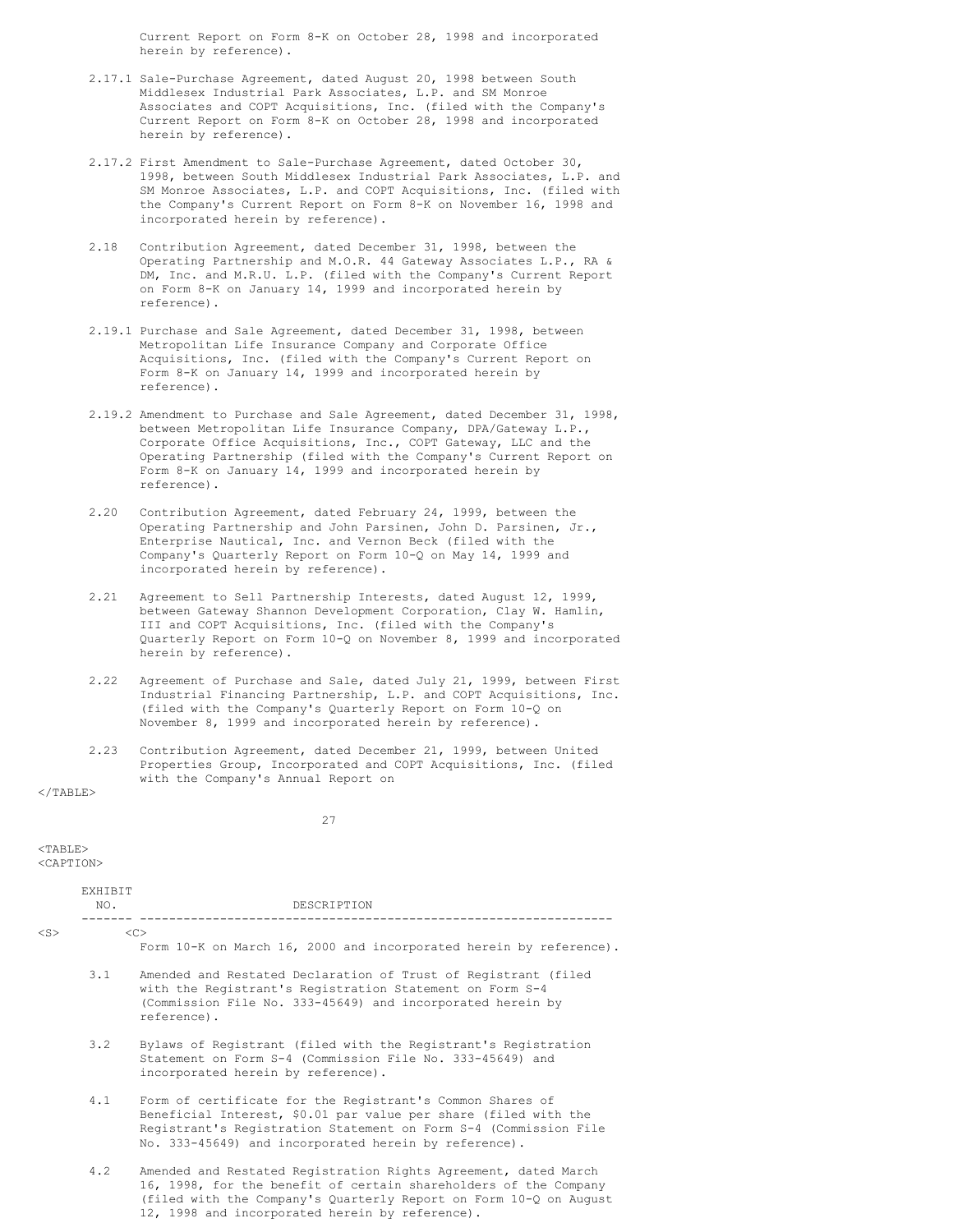Current Report on Form 8-K on October 28, 1998 and incorporated herein by reference).

- 2.17.1 Sale-Purchase Agreement, dated August 20, 1998 between South Middlesex Industrial Park Associates, L.P. and SM Monroe Associates and COPT Acquisitions, Inc. (filed with the Company's Current Report on Form 8-K on October 28, 1998 and incorporated herein by reference).
- 2.17.2 First Amendment to Sale-Purchase Agreement, dated October 30, 1998, between South Middlesex Industrial Park Associates, L.P. and SM Monroe Associates, L.P. and COPT Acquisitions, Inc. (filed with the Company's Current Report on Form 8-K on November 16, 1998 and incorporated herein by reference).
- 2.18 Contribution Agreement, dated December 31, 1998, between the Operating Partnership and M.O.R. 44 Gateway Associates L.P., RA & DM, Inc. and M.R.U. L.P. (filed with the Company's Current Report on Form 8-K on January 14, 1999 and incorporated herein by reference).
- 2.19.1 Purchase and Sale Agreement, dated December 31, 1998, between Metropolitan Life Insurance Company and Corporate Office Acquisitions, Inc. (filed with the Company's Current Report on Form 8-K on January 14, 1999 and incorporated herein by reference).
- 2.19.2 Amendment to Purchase and Sale Agreement, dated December 31, 1998, between Metropolitan Life Insurance Company, DPA/Gateway L.P., Corporate Office Acquisitions, Inc., COPT Gateway, LLC and the Operating Partnership (filed with the Company's Current Report on Form 8-K on January 14, 1999 and incorporated herein by reference).
- 2.20 Contribution Agreement, dated February 24, 1999, between the Operating Partnership and John Parsinen, John D. Parsinen, Jr., Enterprise Nautical, Inc. and Vernon Beck (filed with the Company's Quarterly Report on Form 10-Q on May 14, 1999 and incorporated herein by reference).
- 2.21 Agreement to Sell Partnership Interests, dated August 12, 1999, between Gateway Shannon Development Corporation, Clay W. Hamlin, III and COPT Acquisitions, Inc. (filed with the Company's Quarterly Report on Form 10-Q on November 8, 1999 and incorporated herein by reference).
- 2.22 Agreement of Purchase and Sale, dated July 21, 1999, between First Industrial Financing Partnership, L.P. and COPT Acquisitions, Inc. (filed with the Company's Quarterly Report on Form 10-Q on November 8, 1999 and incorporated herein by reference).
- 2.23 Contribution Agreement, dated December 21, 1999, between United Properties Group, Incorporated and COPT Acquisitions, Inc. (filed with the Company's Annual Report on

 $\langle$ /TABLE>

27

 $<$ TABLE>

<CAPTION>

|           | <b>EXHIBIT</b><br>NO. | DESCRIPTION                                                                                                                                                                                                                                               |
|-----------|-----------------------|-----------------------------------------------------------------------------------------------------------------------------------------------------------------------------------------------------------------------------------------------------------|
| $<$ S $>$ |                       | <<                                                                                                                                                                                                                                                        |
|           |                       | Form 10-K on March 16, 2000 and incorporated herein by reference).                                                                                                                                                                                        |
|           | 3.1                   | Amended and Restated Declaration of Trust of Registrant (filed<br>with the Registrant's Registration Statement on Form S-4<br>(Commission File No. 333-45649) and incorporated herein by<br>reference).                                                   |
|           | 3.2                   | Bylaws of Registrant (filed with the Registrant's Registration<br>Statement on Form S-4 (Commission File No. 333-45649) and<br>incorporated herein by reference).                                                                                         |
|           | 4.1                   | Form of certificate for the Registrant's Common Shares of<br>Beneficial Interest, \$0.01 par value per share (filed with the<br>Registrant's Registration Statement on Form S-4 (Commission File<br>No. 333-45649) and incorporated herein by reference). |
|           | 4.2                   | Amended and Restated Registration Rights Agreement, dated March<br>16, 1998, for the benefit of certain shareholders of the Company<br>(filed with the Company's Quarterly Report on Form 10-Q on August                                                  |

12, 1998 and incorporated herein by reference).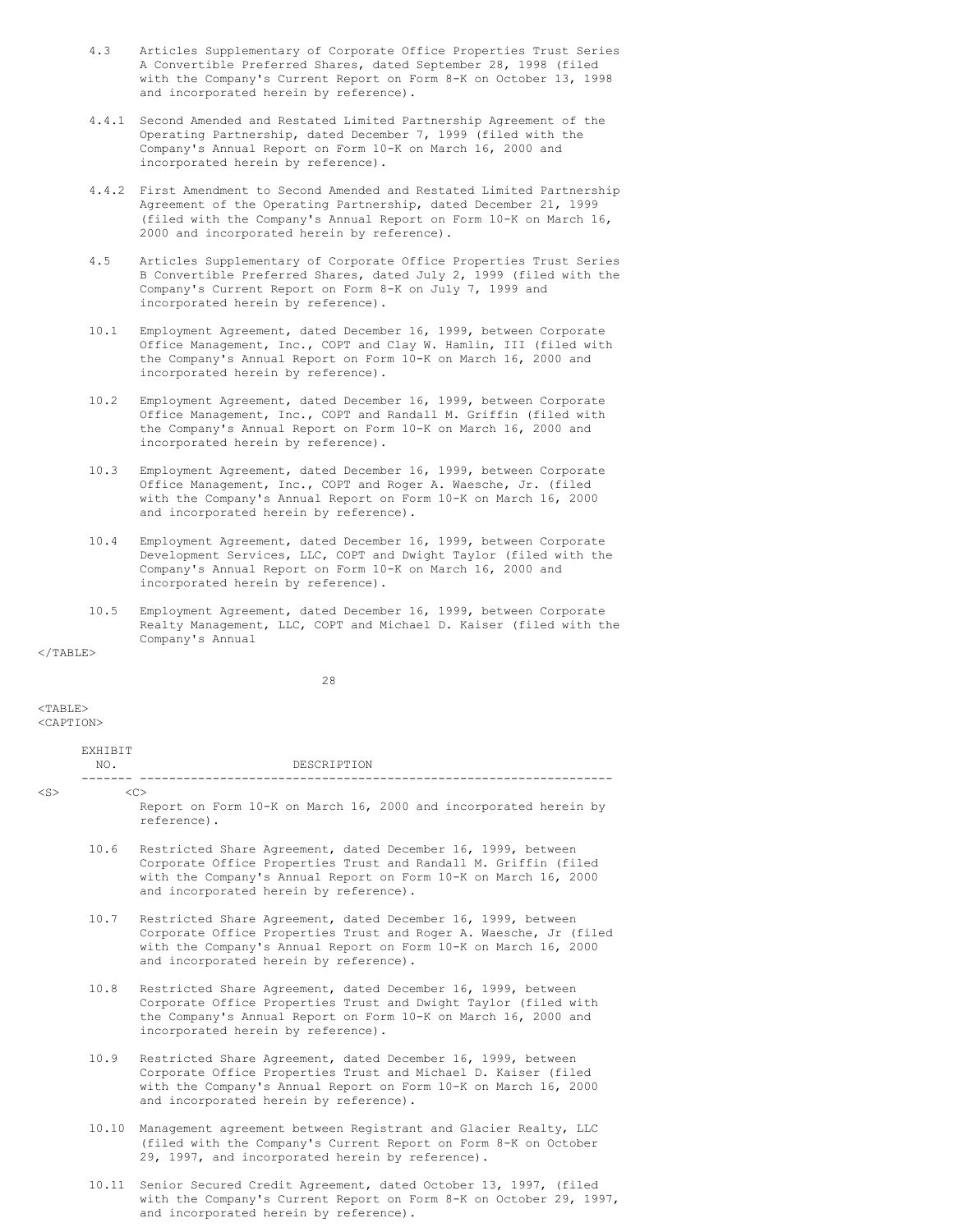- 4.3 Articles Supplementary of Corporate Office Properties Trust Series A Convertible Preferred Shares, dated September 28, 1998 (filed with the Company's Current Report on Form 8-K on October 13, 1998 and incorporated herein by reference).
- 4.4.1 Second Amended and Restated Limited Partnership Agreement of the Operating Partnership, dated December 7, 1999 (filed with the Company's Annual Report on Form 10-K on March 16, 2000 and incorporated herein by reference).
- 4.4.2 First Amendment to Second Amended and Restated Limited Partnership Agreement of the Operating Partnership, dated December 21, 1999 (filed with the Company's Annual Report on Form 10-K on March 16, 2000 and incorporated herein by reference).
- 4.5 Articles Supplementary of Corporate Office Properties Trust Series B Convertible Preferred Shares, dated July 2, 1999 (filed with the Company's Current Report on Form 8-K on July 7, 1999 and incorporated herein by reference).
- 10.1 Employment Agreement, dated December 16, 1999, between Corporate Office Management, Inc., COPT and Clay W. Hamlin, III (filed with the Company's Annual Report on Form 10-K on March 16, 2000 and incorporated herein by reference).
- 10.2 Employment Agreement, dated December 16, 1999, between Corporate Office Management, Inc., COPT and Randall M. Griffin (filed with the Company's Annual Report on Form 10-K on March 16, 2000 and incorporated herein by reference).
- 10.3 Employment Agreement, dated December 16, 1999, between Corporate Office Management, Inc., COPT and Roger A. Waesche, Jr. (filed with the Company's Annual Report on Form 10-K on March 16, 2000 and incorporated herein by reference).
- 10.4 Employment Agreement, dated December 16, 1999, between Corporate Development Services, LLC, COPT and Dwight Taylor (filed with the Company's Annual Report on Form 10-K on March 16, 2000 and incorporated herein by reference).
- 10.5 Employment Agreement, dated December 16, 1999, between Corporate Realty Management, LLC, COPT and Michael D. Kaiser (filed with the Company's Annual

 $<$ /TABLE>

28

 $<$ TABLE> <CAPTION>

|           | EXHIBIT<br>NO. | DESCRIPTION<br>________________________________                                                                                                                                                                                                |
|-----------|----------------|------------------------------------------------------------------------------------------------------------------------------------------------------------------------------------------------------------------------------------------------|
| $<$ S $>$ |                | < <sub><br/>Report on Form 10-K on March 16, 2000 and incorporated herein by<br/>reference).</sub>                                                                                                                                             |
|           | 10.6           | Restricted Share Agreement, dated December 16, 1999, between<br>Corporate Office Properties Trust and Randall M. Griffin (filed<br>with the Company's Annual Report on Form 10-K on March 16, 2000<br>and incorporated herein by reference).   |
|           | 10.7           | Restricted Share Agreement, dated December 16, 1999, between<br>Corporate Office Properties Trust and Roger A. Waesche, Jr (filed<br>with the Company's Annual Report on Form 10-K on March 16, 2000<br>and incorporated herein by reference). |
|           | 10.8           | Restricted Share Agreement, dated December 16, 1999, between<br>Corporate Office Properties Trust and Dwight Taylor (filed with<br>the Company's Annual Report on Form 10-K on March 16, 2000 and<br>incorporated herein by reference).        |
|           | 10.9           | Restricted Share Agreement, dated December 16, 1999, between<br>Corporate Office Properties Trust and Michael D. Kaiser (filed<br>with the Company's Annual Report on Form 10-K on March 16, 2000<br>and incorporated herein by reference).    |
|           | 10.10          | Management agreement between Registrant and Glacier Realty, LLC<br>(filed with the Company's Current Report on Form 8-K on October<br>29, 1997, and incorporated herein by reference).                                                         |

10.11 Senior Secured Credit Agreement, dated October 13, 1997, (filed with the Company's Current Report on Form 8-K on October 29, 1997, and incorporated herein by reference).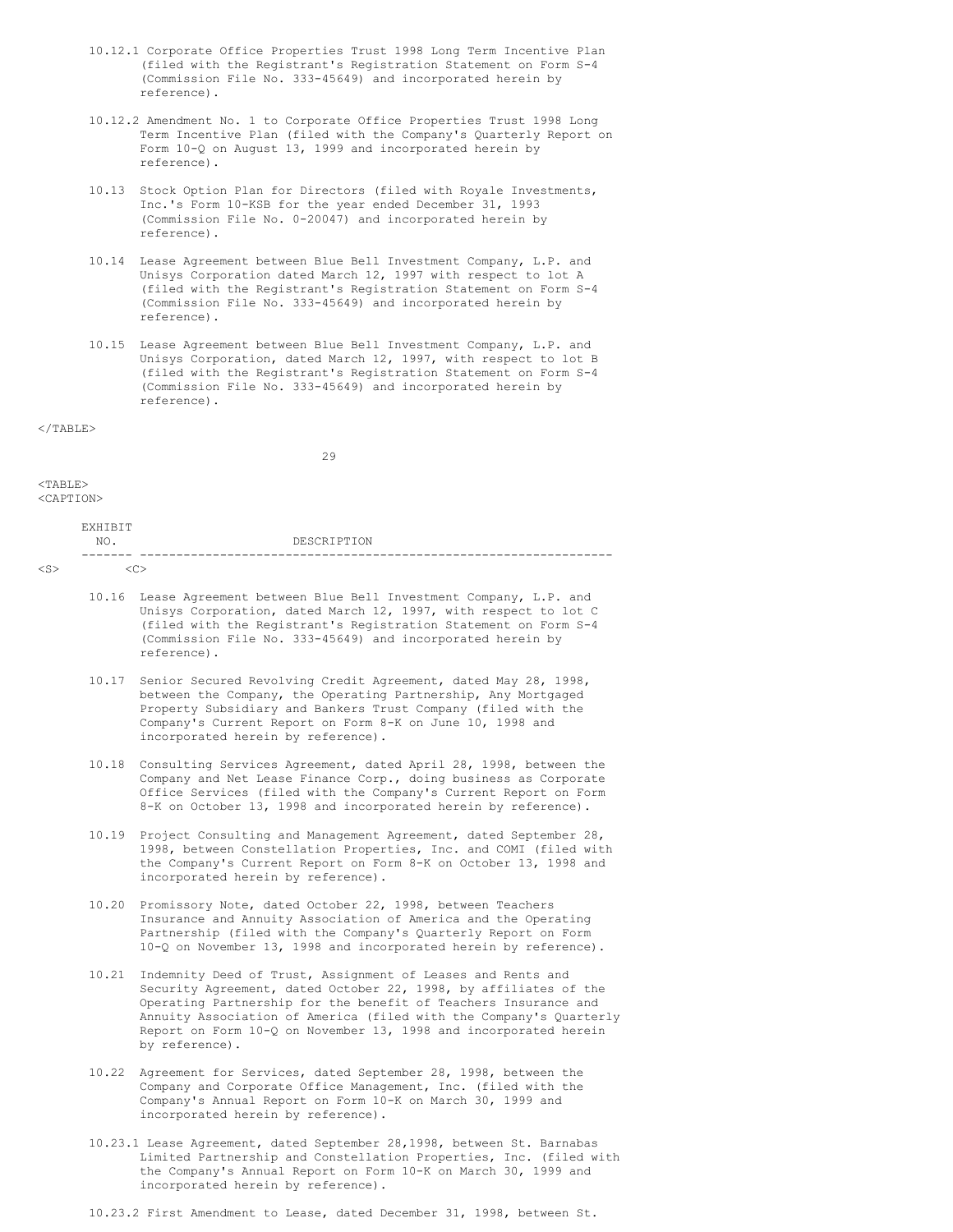- 10.12.1 Corporate Office Properties Trust 1998 Long Term Incentive Plan (filed with the Registrant's Registration Statement on Form S-4 (Commission File No. 333-45649) and incorporated herein by reference).
- 10.12.2 Amendment No. 1 to Corporate Office Properties Trust 1998 Long Term Incentive Plan (filed with the Company's Quarterly Report on Form 10-Q on August 13, 1999 and incorporated herein by reference).
- 10.13 Stock Option Plan for Directors (filed with Royale Investments, Inc.'s Form 10-KSB for the year ended December 31, 1993 (Commission File No. 0-20047) and incorporated herein by reference).
- 10.14 Lease Agreement between Blue Bell Investment Company, L.P. and Unisys Corporation dated March 12, 1997 with respect to lot A (filed with the Registrant's Registration Statement on Form S-4 (Commission File No. 333-45649) and incorporated herein by reference).
- 10.15 Lease Agreement between Blue Bell Investment Company, L.P. and Unisys Corporation, dated March 12, 1997, with respect to lot B (filed with the Registrant's Registration Statement on Form S-4 (Commission File No. 333-45649) and incorporated herein by reference).

 $\langle$ /TABLE>

29

# <TABLE>

<CAPTION>

| FYHT<br>◡      |             |
|----------------|-------------|
| NO.            | DESCRIPTION |
| $\sim$<br>$ -$ | -------     |

 $\langle$ S>  $\langle$ C>

- 10.16 Lease Agreement between Blue Bell Investment Company, L.P. and Unisys Corporation, dated March 12, 1997, with respect to lot C (filed with the Registrant's Registration Statement on Form S-4 (Commission File No. 333-45649) and incorporated herein by reference).
- 10.17 Senior Secured Revolving Credit Agreement, dated May 28, 1998, between the Company, the Operating Partnership, Any Mortgaged Property Subsidiary and Bankers Trust Company (filed with the Company's Current Report on Form 8-K on June 10, 1998 and incorporated herein by reference).
- 10.18 Consulting Services Agreement, dated April 28, 1998, between the Company and Net Lease Finance Corp., doing business as Corporate Office Services (filed with the Company's Current Report on Form 8-K on October 13, 1998 and incorporated herein by reference).
- 10.19 Project Consulting and Management Agreement, dated September 28, 1998, between Constellation Properties, Inc. and COMI (filed with the Company's Current Report on Form 8-K on October 13, 1998 and incorporated herein by reference).
- 10.20 Promissory Note, dated October 22, 1998, between Teachers Insurance and Annuity Association of America and the Operating Partnership (filed with the Company's Quarterly Report on Form 10-Q on November 13, 1998 and incorporated herein by reference).
- 10.21 Indemnity Deed of Trust, Assignment of Leases and Rents and Security Agreement, dated October 22, 1998, by affiliates of the Operating Partnership for the benefit of Teachers Insurance and Annuity Association of America (filed with the Company's Quarterly Report on Form 10-Q on November 13, 1998 and incorporated herein by reference).
- 10.22 Agreement for Services, dated September 28, 1998, between the Company and Corporate Office Management, Inc. (filed with the Company's Annual Report on Form 10-K on March 30, 1999 and incorporated herein by reference).
- Limited Partnership and Constellation Properties, Inc. (filed with the Company's Annual Report on Form 10-K on March 30, 1999 and incorporated herein by reference).
- 10.23.2 First Amendment to Lease, dated December 31, 1998, between St.

10.23.1 Lease Agreement, dated September 28,1998, between St. Barnabas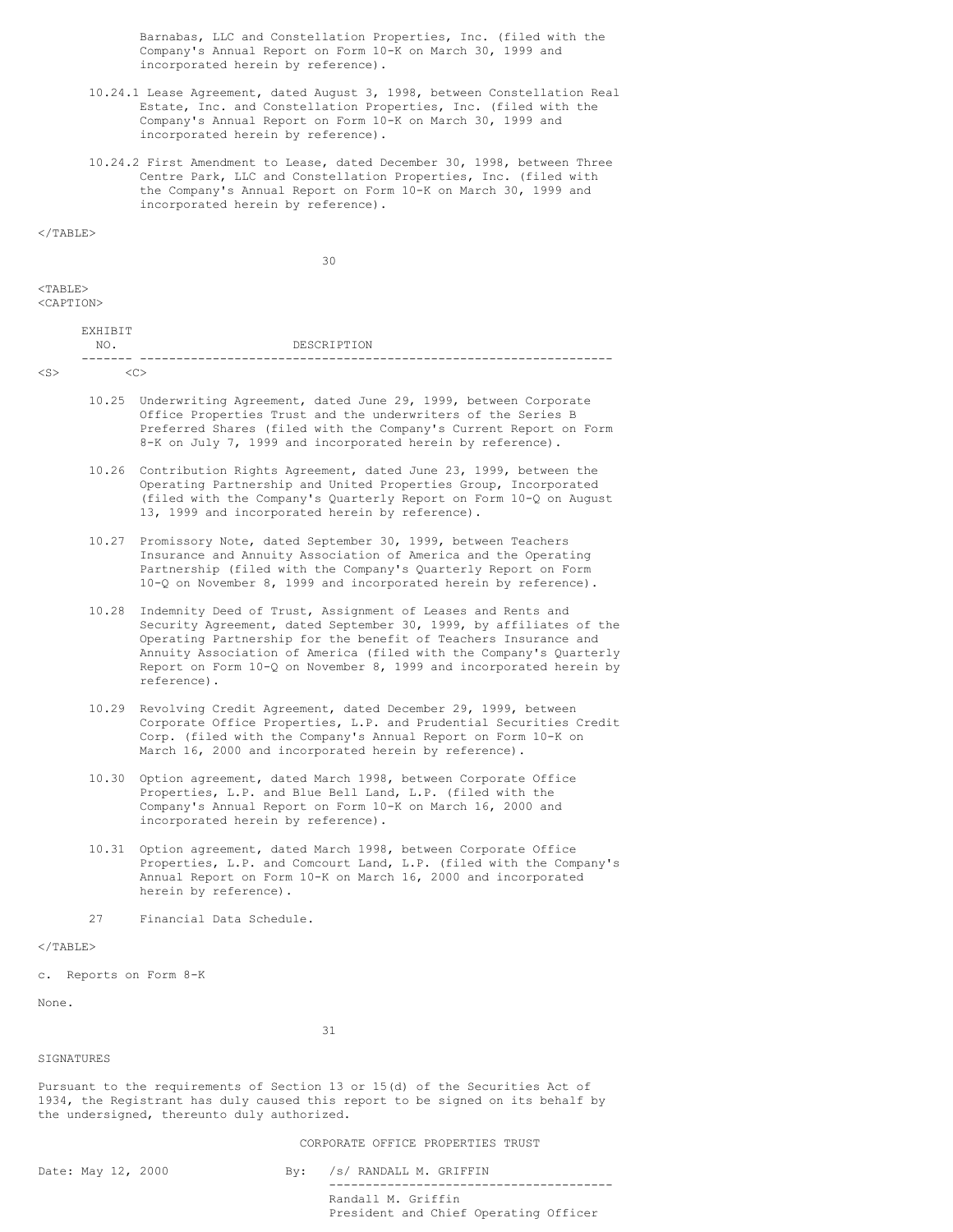Barnabas, LLC and Constellation Properties, Inc. (filed with the Company's Annual Report on Form 10-K on March 30, 1999 and incorporated herein by reference).

- 10.24.1 Lease Agreement, dated August 3, 1998, between Constellation Real Estate, Inc. and Constellation Properties, Inc. (filed with the Company's Annual Report on Form 10-K on March 30, 1999 and incorporated herein by reference).
- 10.24.2 First Amendment to Lease, dated December 30, 1998, between Three Centre Park, LLC and Constellation Properties, Inc. (filed with the Company's Annual Report on Form 10-K on March 30, 1999 and incorporated herein by reference).

 $\langle$ /TABLE>

30

 $<$ TABLE>

<CAPTION>

exutro te

| __<br>$  -$ | ----------------------------------<br>__ |
|-------------|------------------------------------------|
| NO.         | DESCRIPTION                              |
| .<br>$-$    |                                          |

 $\langle$ S>

- 10.25 Underwriting Agreement, dated June 29, 1999, between Corporate Office Properties Trust and the underwriters of the Series B Preferred Shares (filed with the Company's Current Report on Form 8-K on July 7, 1999 and incorporated herein by reference).
- 10.26 Contribution Rights Agreement, dated June 23, 1999, between the Operating Partnership and United Properties Group, Incorporated (filed with the Company's Quarterly Report on Form 10-Q on August 13, 1999 and incorporated herein by reference).
- 10.27 Promissory Note, dated September 30, 1999, between Teachers Insurance and Annuity Association of America and the Operating Partnership (filed with the Company's Quarterly Report on Form 10-Q on November 8, 1999 and incorporated herein by reference).
- 10.28 Indemnity Deed of Trust, Assignment of Leases and Rents and Security Agreement, dated September 30, 1999, by affiliates of the Operating Partnership for the benefit of Teachers Insurance and Annuity Association of America (filed with the Company's Quarterly Report on Form 10-Q on November 8, 1999 and incorporated herein by reference).
- 10.29 Revolving Credit Agreement, dated December 29, 1999, between Corporate Office Properties, L.P. and Prudential Securities Credit Corp. (filed with the Company's Annual Report on Form 10-K on March 16, 2000 and incorporated herein by reference).
- 10.30 Option agreement, dated March 1998, between Corporate Office Properties, L.P. and Blue Bell Land, L.P. (filed with the Company's Annual Report on Form 10-K on March 16, 2000 and incorporated herein by reference).
- 10.31 Option agreement, dated March 1998, between Corporate Office Properties, L.P. and Comcourt Land, L.P. (filed with the Company's Annual Report on Form 10-K on March 16, 2000 and incorporated herein by reference).
- 27 Financial Data Schedule.

#### $\langle$ /TABLE>

c. Reports on Form 8-K

None.

31

# SIGNATURES

Pursuant to the requirements of Section 13 or 15(d) of the Securities Act of 1934, the Registrant has duly caused this report to be signed on its behalf by the undersigned, thereunto duly authorized.

# CORPORATE OFFICE PROPERTIES TRUST

Date: May 12, 2000 By: /s/ RANDALL M. GRIFFIN --------------------------------------- Randall M. Griffin President and Chief Operating Officer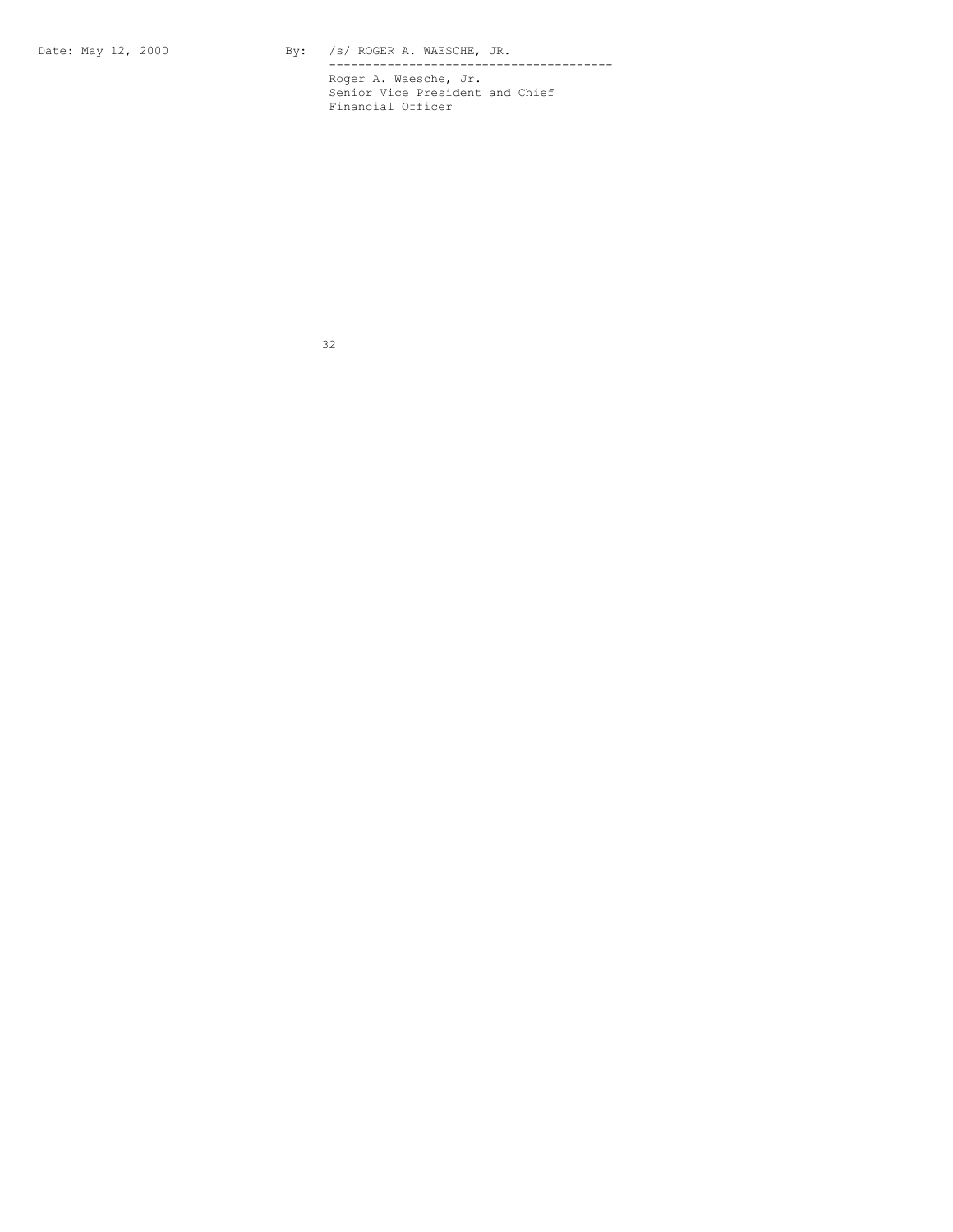Date: May 12, 2000 By: /s/ ROGER A. WAESCHE, JR.

--------------------------------------- Roger A. Waesche, Jr. Senior Vice President and Chief Financial Officer

32